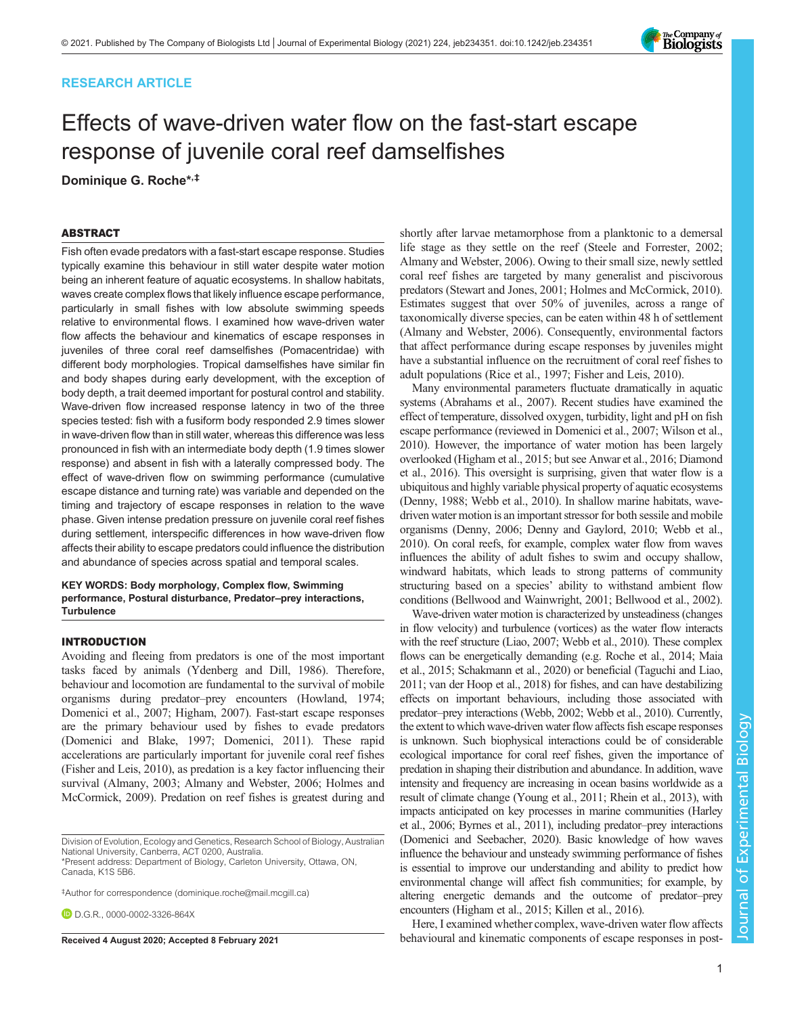## RESEARCH ARTICLE

# Effects of wave-driven water flow on the fast-start escape response of juvenile coral reef damselfishes

Dominique G. Roche\*,‡

## ABSTRACT

Fish often evade predators with a fast-start escape response. Studies typically examine this behaviour in still water despite water motion being an inherent feature of aquatic ecosystems. In shallow habitats, waves create complex flows that likely influence escape performance, particularly in small fishes with low absolute swimming speeds relative to environmental flows. I examined how wave-driven water flow affects the behaviour and kinematics of escape responses in juveniles of three coral reef damselfishes (Pomacentridae) with different body morphologies. Tropical damselfishes have similar fin and body shapes during early development, with the exception of body depth, a trait deemed important for postural control and stability. Wave-driven flow increased response latency in two of the three species tested: fish with a fusiform body responded 2.9 times slower in wave-driven flow than in still water, whereas this difference was less pronounced in fish with an intermediate body depth (1.9 times slower response) and absent in fish with a laterally compressed body. The effect of wave-driven flow on swimming performance (cumulative escape distance and turning rate) was variable and depended on the timing and trajectory of escape responses in relation to the wave phase. Given intense predation pressure on juvenile coral reef fishes during settlement, interspecific differences in how wave-driven flow affects their ability to escape predators could influence the distribution and abundance of species across spatial and temporal scales.

#### KEY WORDS: Body morphology, Complex flow, Swimming performance, Postural disturbance, Predator–prey interactions, **Turbulence**

#### INTRODUCTION

Avoiding and fleeing from predators is one of the most important tasks faced by animals [\(Ydenberg and Dill, 1986](#page-10-0)). Therefore, behaviour and locomotion are fundamental to the survival of mobile organisms during predator–prey encounters ([Howland, 1974](#page-9-0); [Domenici et al., 2007; Higham, 2007](#page-9-0)). Fast-start escape responses are the primary behaviour used by fishes to evade predators [\(Domenici and Blake, 1997; Domenici, 2011](#page-9-0)). These rapid accelerations are particularly important for juvenile coral reef fishes [\(Fisher and Leis, 2010\)](#page-9-0), as predation is a key factor influencing their survival [\(Almany, 2003](#page-8-0); [Almany and Webster, 2006](#page-8-0); [Holmes and](#page-9-0) [McCormick, 2009\)](#page-9-0). Predation on reef fishes is greatest during and

Division of Evolution, Ecology and Genetics, Research School of Biology, Australian National University, Canberra, ACT 0200, Australia.

\*Present address: Department of Biology, Carleton University, Ottawa, ON, Canada, K1S 5B6.

‡ Author for correspondence ([dominique.roche@mail.mcgill.ca](mailto:dominique.roche@mail.mcgill.ca))

**D.D.G.R., [0000-0002-3326-864X](http://orcid.org/0000-0002-3326-864X)** 

shortly after larvae metamorphose from a planktonic to a demersal life stage as they settle on the reef ([Steele and Forrester, 2002](#page-10-0); [Almany and Webster, 2006](#page-8-0)). Owing to their small size, newly settled coral reef fishes are targeted by many generalist and piscivorous predators ([Stewart and Jones, 2001;](#page-10-0) [Holmes and McCormick, 2010\)](#page-9-0). Estimates suggest that over 50% of juveniles, across a range of taxonomically diverse species, can be eaten within 48 h of settlement [\(Almany and Webster, 2006\)](#page-8-0). Consequently, environmental factors that affect performance during escape responses by juveniles might have a substantial influence on the recruitment of coral reef fishes to adult populations ([Rice et al., 1997; Fisher and Leis, 2010\)](#page-9-0).

Many environmental parameters fluctuate dramatically in aquatic systems [\(Abrahams et al., 2007](#page-8-0)). Recent studies have examined the effect of temperature, dissolved oxygen, turbidity, light and pH on fish escape performance (reviewed in [Domenici et al., 2007](#page-9-0); [Wilson et al.,](#page-10-0) [2010](#page-10-0)). However, the importance of water motion has been largely overlooked [\(Higham et al., 2015;](#page-9-0) but see [Anwar et al., 2016](#page-8-0); [Diamond](#page-8-0) [et al., 2016\)](#page-8-0). This oversight is surprising, given that water flow is a ubiquitous and highly variable physical property of aquatic ecosystems [\(Denny, 1988](#page-8-0); [Webb et al., 2010\)](#page-10-0). In shallow marine habitats, wavedriven water motion is an important stressor for both sessile and mobile organisms [\(Denny, 2006; Denny and Gaylord, 2010;](#page-8-0) [Webb et al.,](#page-10-0) [2010](#page-10-0)). On coral reefs, for example, complex water flow from waves influences the ability of adult fishes to swim and occupy shallow, windward habitats, which leads to strong patterns of community structuring based on a species' ability to withstand ambient flow conditions [\(Bellwood and Wainwright, 2001](#page-8-0); [Bellwood et al., 2002\)](#page-8-0).

Wave-driven water motion is characterized by unsteadiness (changes in flow velocity) and turbulence (vortices) as the water flow interacts with the reef structure ([Liao, 2007;](#page-9-0) [Webb et al., 2010\)](#page-10-0). These complex flows can be energetically demanding (e.g. [Roche et al., 2014; Maia](#page-9-0) [et al., 2015](#page-9-0); [Schakmann et al., 2020](#page-10-0)) or beneficial [\(Taguchi and Liao,](#page-10-0) [2011](#page-10-0); [van der Hoop et al., 2018\)](#page-10-0) for fishes, and can have destabilizing effects on important behaviours, including those associated with predator–prey interactions [\(Webb, 2002; Webb et al., 2010\)](#page-10-0). Currently, the extent to which wave-driven water flow affects fish escape responses is unknown. Such biophysical interactions could be of considerable ecological importance for coral reef fishes, given the importance of predation in shaping their distribution and abundance. In addition, wave intensity and frequency are increasing in ocean basins worldwide as a result of climate change [\(Young et al., 2011;](#page-10-0) [Rhein et al., 2013](#page-9-0)), with impacts anticipated on key processes in marine communities [\(Harley](#page-9-0) [et al., 2006;](#page-9-0) [Byrnes et al., 2011\)](#page-8-0), including predator–prey interactions [\(Domenici and Seebacher, 2020](#page-9-0)). Basic knowledge of how waves influence the behaviour and unsteady swimming performance of fishes is essential to improve our understanding and ability to predict how environmental change will affect fish communities; for example, by altering energetic demands and the outcome of predator–prey encounters [\(Higham et al., 2015; Killen et al., 2016\)](#page-9-0).

Here, I examined whether complex, wave-driven water flow affects Received 4 August 2020; Accepted 8 February 2021 behavioural and kinematic components of escape responses in post-

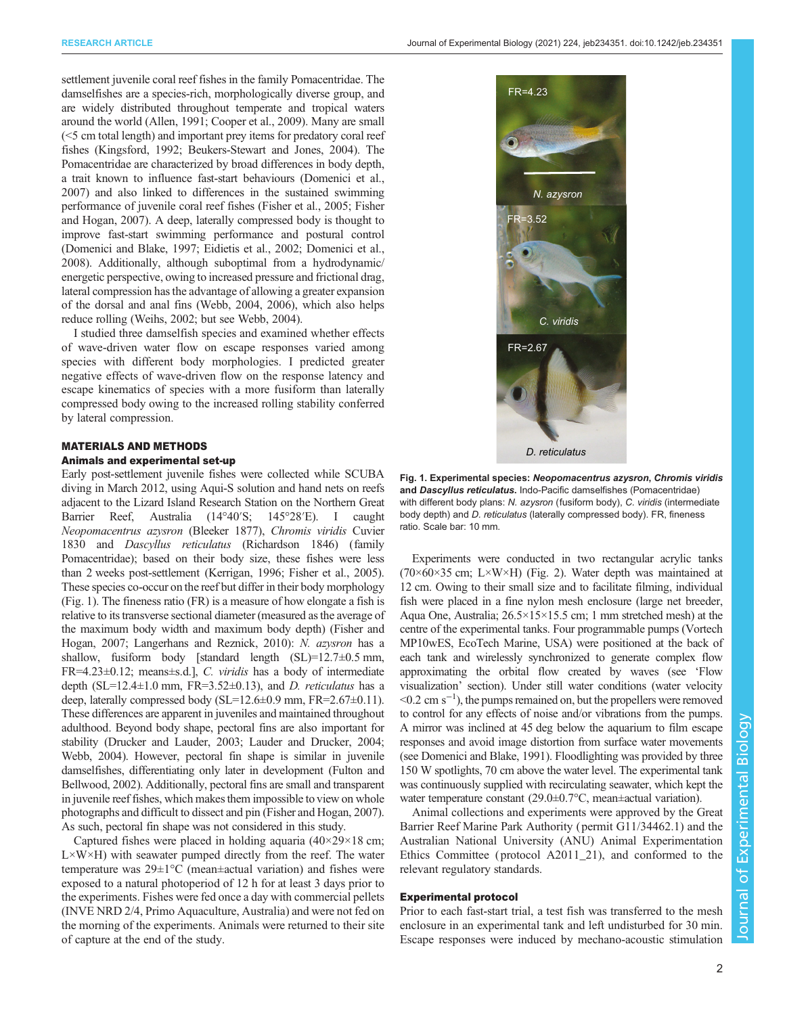<span id="page-1-0"></span>settlement juvenile coral reef fishes in the family Pomacentridae. The damselfishes are a species-rich, morphologically diverse group, and are widely distributed throughout temperate and tropical waters around the world [\(Allen, 1991; Cooper et al., 2009](#page-8-0)). Many are small (<5 cm total length) and important prey items for predatory coral reef fishes ([Kingsford, 1992;](#page-9-0) [Beukers-Stewart and Jones, 2004\)](#page-8-0). The Pomacentridae are characterized by broad differences in body depth, a trait known to influence fast-start behaviours [\(Domenici et al.,](#page-9-0) [2007\)](#page-9-0) and also linked to differences in the sustained swimming performance of juvenile coral reef fishes [\(Fisher et al., 2005; Fisher](#page-9-0) [and Hogan, 2007\)](#page-9-0). A deep, laterally compressed body is thought to improve fast-start swimming performance and postural control [\(Domenici and Blake, 1997](#page-9-0); [Eidietis et al., 2002](#page-9-0); [Domenici et al.,](#page-9-0) [2008\)](#page-9-0). Additionally, although suboptimal from a hydrodynamic/ energetic perspective, owing to increased pressure and frictional drag, lateral compression has the advantage of allowing a greater expansion of the dorsal and anal fins [\(Webb, 2004, 2006\)](#page-10-0), which also helps reduce rolling ([Weihs, 2002;](#page-10-0) but see [Webb, 2004](#page-10-0)).

I studied three damselfish species and examined whether effects of wave-driven water flow on escape responses varied among species with different body morphologies. I predicted greater negative effects of wave-driven flow on the response latency and escape kinematics of species with a more fusiform than laterally compressed body owing to the increased rolling stability conferred by lateral compression.

## MATERIALS AND METHODS Animals and experimental set-up

Early post-settlement juvenile fishes were collected while SCUBA diving in March 2012, using Aqui-S solution and hand nets on reefs adjacent to the Lizard Island Research Station on the Northern Great Barrier Reef, Australia (14°40′S; 145°28′E). I caught Neopomacentrus azysron (Bleeker 1877), Chromis viridis Cuvier 1830 and Dascyllus reticulatus (Richardson 1846) (family Pomacentridae); based on their body size, these fishes were less than 2 weeks post-settlement ([Kerrigan, 1996](#page-9-0); [Fisher et al., 2005\)](#page-9-0). These species co-occur on the reef but differ in their body morphology (Fig. 1). The fineness ratio (FR) is a measure of how elongate a fish is relative to its transverse sectional diameter (measured as the average of the maximum body width and maximum body depth) [\(Fisher and](#page-9-0) [Hogan, 2007; Langerhans and Reznick, 2010](#page-9-0)): N. azysron has a shallow, fusiform body [standard length (SL)=12.7±0.5 mm, FR=4.23±0.12; means±s.d.], C. viridis has a body of intermediate depth (SL=12.4 $\pm$ 1.0 mm, FR=3.52 $\pm$ 0.13), and *D. reticulatus* has a deep, laterally compressed body  $(SL=12.6\pm0.9 \text{ mm}, \text{FR}=2.67\pm0.11)$ . These differences are apparent in juveniles and maintained throughout adulthood. Beyond body shape, pectoral fins are also important for stability [\(Drucker and Lauder, 2003](#page-9-0); [Lauder and Drucker, 2004](#page-9-0); [Webb, 2004](#page-10-0)). However, pectoral fin shape is similar in juvenile damselfishes, differentiating only later in development [\(Fulton and](#page-9-0) [Bellwood, 2002](#page-9-0)). Additionally, pectoral fins are small and transparent in juvenile reef fishes, which makes them impossible to view on whole photographs and difficult to dissect and pin [\(Fisher and Hogan, 2007\)](#page-9-0). As such, pectoral fin shape was not considered in this study.

Captured fishes were placed in holding aquaria  $(40\times29\times18$  cm;  $L \times W \times H$ ) with seawater pumped directly from the reef. The water temperature was 29±1°C (mean±actual variation) and fishes were exposed to a natural photoperiod of 12 h for at least 3 days prior to the experiments. Fishes were fed once a day with commercial pellets (INVE NRD 2/4, Primo Aquaculture, Australia) and were not fed on the morning of the experiments. Animals were returned to their site of capture at the end of the study.



Fig. 1. Experimental species: Neopomacentrus azysron, Chromis viridis and Dascyllus reticulatus. Indo-Pacific damselfishes (Pomacentridae) with different body plans: N. azysron (fusiform body), C. viridis (intermediate body depth) and D. reticulatus (laterally compressed body). FR, fineness ratio. Scale bar: 10 mm.

Experiments were conducted in two rectangular acrylic tanks (70×60×35 cm; L×W×H) [\(Fig. 2\)](#page-2-0). Water depth was maintained at 12 cm. Owing to their small size and to facilitate filming, individual fish were placed in a fine nylon mesh enclosure (large net breeder, Aqua One, Australia; 26.5×15×15.5 cm; 1 mm stretched mesh) at the centre of the experimental tanks. Four programmable pumps (Vortech MP10wES, EcoTech Marine, USA) were positioned at the back of each tank and wirelessly synchronized to generate complex flow approximating the orbital flow created by waves (see 'Flow visualization' section). Under still water conditions (water velocity <0.2 cm s−<sup>1</sup> ), the pumps remained on, but the propellers were removed to control for any effects of noise and/or vibrations from the pumps. A mirror was inclined at 45 deg below the aquarium to film escape responses and avoid image distortion from surface water movements (see [Domenici and Blake, 1991\)](#page-9-0). Floodlighting was provided by three 150 W spotlights, 70 cm above the water level. The experimental tank was continuously supplied with recirculating seawater, which kept the water temperature constant (29.0±0.7°C, mean±actual variation).

Animal collections and experiments were approved by the Great Barrier Reef Marine Park Authority ( permit G11/34462.1) and the Australian National University (ANU) Animal Experimentation Ethics Committee ( protocol A2011\_21), and conformed to the relevant regulatory standards.

#### Experimental protocol

Prior to each fast-start trial, a test fish was transferred to the mesh enclosure in an experimental tank and left undisturbed for 30 min. Escape responses were induced by mechano-acoustic stimulation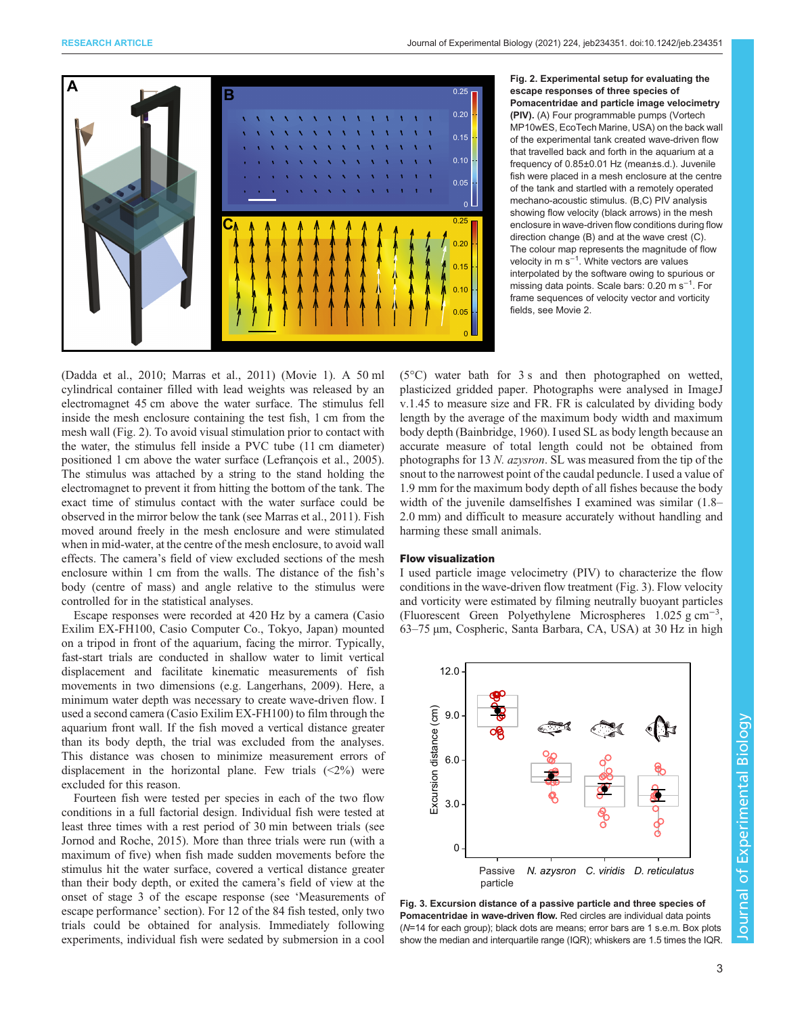<span id="page-2-0"></span>

escape responses of three species of Pomacentridae and particle image velocimetry (PIV). (A) Four programmable pumps (Vortech MP10wES, EcoTech Marine, USA) on the back wall of the experimental tank created wave-driven flow that travelled back and forth in the aquarium at a frequency of 0.85±0.01 Hz (mean±s.d.). Juvenile fish were placed in a mesh enclosure at the centre of the tank and startled with a remotely operated mechano-acoustic stimulus. (B,C) PIV analysis showing flow velocity (black arrows) in the mesh enclosure in wave-driven flow conditions during flow direction change (B) and at the wave crest (C). The colour map represents the magnitude of flow velocity in m s<sup>-1</sup>. White vectors are values interpolated by the software owing to spurious or missing data points. Scale bars: 0.20 m s<sup>−</sup>1. For frame sequences of velocity vector and vorticity fields, see [Movie 2.](http://movie.biologists.com/video/10.1242/jeb.234351/video-2)

[\(Dadda et al., 2010;](#page-8-0) [Marras et al., 2011\)](#page-9-0) ([Movie 1\)](http://movie.biologists.com/video/10.1242/jeb.234351/video-1). A 50 ml cylindrical container filled with lead weights was released by an electromagnet 45 cm above the water surface. The stimulus fell inside the mesh enclosure containing the test fish, 1 cm from the mesh wall (Fig. 2). To avoid visual stimulation prior to contact with the water, the stimulus fell inside a PVC tube (11 cm diameter) positioned 1 cm above the water surface [\(Lefrançois et al., 2005\)](#page-9-0). The stimulus was attached by a string to the stand holding the electromagnet to prevent it from hitting the bottom of the tank. The exact time of stimulus contact with the water surface could be observed in the mirror below the tank (see [Marras et al., 2011](#page-9-0)). Fish moved around freely in the mesh enclosure and were stimulated when in mid-water, at the centre of the mesh enclosure, to avoid wall effects. The camera's field of view excluded sections of the mesh enclosure within 1 cm from the walls. The distance of the fish's body (centre of mass) and angle relative to the stimulus were controlled for in the statistical analyses.

Escape responses were recorded at 420 Hz by a camera (Casio Exilim EX-FH100, Casio Computer Co., Tokyo, Japan) mounted on a tripod in front of the aquarium, facing the mirror. Typically, fast-start trials are conducted in shallow water to limit vertical displacement and facilitate kinematic measurements of fish movements in two dimensions (e.g. [Langerhans, 2009\)](#page-9-0). Here, a minimum water depth was necessary to create wave-driven flow. I used a second camera (Casio Exilim EX-FH100) to film through the aquarium front wall. If the fish moved a vertical distance greater than its body depth, the trial was excluded from the analyses. This distance was chosen to minimize measurement errors of displacement in the horizontal plane. Few trials  $(\leq 2\%)$  were excluded for this reason.

Fourteen fish were tested per species in each of the two flow conditions in a full factorial design. Individual fish were tested at least three times with a rest period of 30 min between trials (see [Jornod and Roche, 2015\)](#page-9-0). More than three trials were run (with a maximum of five) when fish made sudden movements before the stimulus hit the water surface, covered a vertical distance greater than their body depth, or exited the camera's field of view at the onset of stage 3 of the escape response (see 'Measurements of escape performance' section). For 12 of the 84 fish tested, only two trials could be obtained for analysis. Immediately following experiments, individual fish were sedated by submersion in a cool

(5°C) water bath for 3 s and then photographed on wetted, plasticized gridded paper. Photographs were analysed in ImageJ v.1.45 to measure size and FR. FR is calculated by dividing body length by the average of the maximum body width and maximum body depth ([Bainbridge, 1960\)](#page-8-0). I used SL as body length because an accurate measure of total length could not be obtained from photographs for 13 N. azysron. SL was measured from the tip of the snout to the narrowest point of the caudal peduncle. I used a value of 1.9 mm for the maximum body depth of all fishes because the body width of the juvenile damselfishes I examined was similar (1.8– 2.0 mm) and difficult to measure accurately without handling and harming these small animals.

#### Flow visualization

I used particle image velocimetry (PIV) to characterize the flow conditions in the wave-driven flow treatment (Fig. 3). Flow velocity and vorticity were estimated by filming neutrally buoyant particles (Fluorescent Green Polyethylene Microspheres 1.025 g cm−<sup>3</sup> , 63–75 µm, Cospheric, Santa Barbara, CA, USA) at 30 Hz in high



Fig. 3. Excursion distance of a passive particle and three species of Pomacentridae in wave-driven flow. Red circles are individual data points (N=14 for each group); black dots are means; error bars are 1 s.e.m. Box plots show the median and interquartile range (IQR); whiskers are 1.5 times the IQR.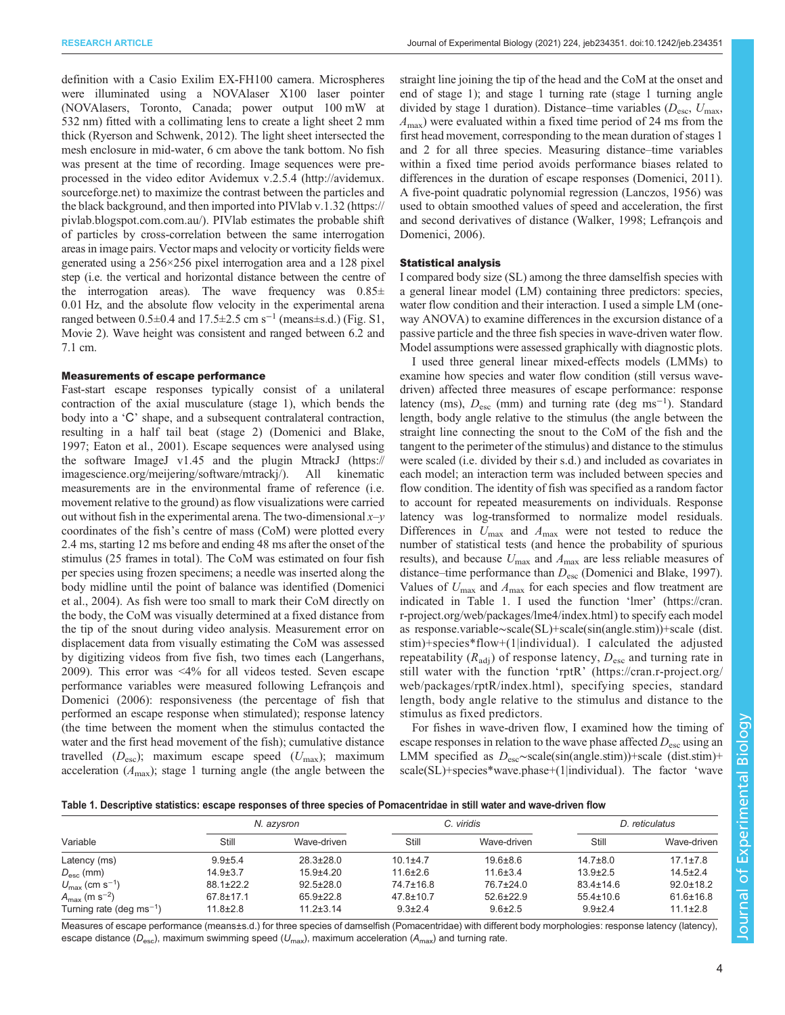<span id="page-3-0"></span>definition with a Casio Exilim EX-FH100 camera. Microspheres were illuminated using a NOVAlaser X100 laser pointer (NOVAlasers, Toronto, Canada; power output 100 mW at 532 nm) fitted with a collimating lens to create a light sheet 2 mm thick [\(Ryerson and Schwenk, 2012\)](#page-10-0). The light sheet intersected the mesh enclosure in mid-water, 6 cm above the tank bottom. No fish was present at the time of recording. Image sequences were preprocessed in the video editor Avidemux v.2.5.4 [\(http://avidemux.](http://avidemux.sourceforge.net) [sourceforge.net](http://avidemux.sourceforge.net)) to maximize the contrast between the particles and the black background, and then imported into PIVlab v.1.32 ([https://](https://pivlab.blogspot.com) [pivlab.blogspot.com](https://pivlab.blogspot.com).com.au/). PIVlab estimates the probable shift of particles by cross-correlation between the same interrogation areas in image pairs. Vector maps and velocity or vorticity fields were generated using a 256×256 pixel interrogation area and a 128 pixel step (i.e. the vertical and horizontal distance between the centre of the interrogation areas). The wave frequency was  $0.85\pm$ 0.01 Hz, and the absolute flow velocity in the experimental arena ranged between  $0.5\pm0.4$  and  $17.5\pm2.5$  cm s<sup>-1</sup> (means±s.d.) ([Fig. S1,](http://jeb.biologists.org/lookup/doi/10.1242/jeb.234351.supplemental) [Movie 2\)](http://movie.biologists.com/video/10.1242/jeb.234351/video-2). Wave height was consistent and ranged between 6.2 and 7.1 cm.

### Measurements of escape performance

Fast-start escape responses typically consist of a unilateral contraction of the axial musculature (stage 1), which bends the body into a 'C' shape, and a subsequent contralateral contraction, resulting in a half tail beat (stage 2) ([Domenici and Blake,](#page-9-0) [1997](#page-9-0); [Eaton et al., 2001\)](#page-9-0). Escape sequences were analysed using the software ImageJ v1.45 and the plugin MtrackJ ([https://](https://imagescience.org/meijering/software/mtrackj/) [imagescience.org/meijering/software/mtrackj/](https://imagescience.org/meijering/software/mtrackj/)). All kinematic measurements are in the environmental frame of reference (i.e. movement relative to the ground) as flow visualizations were carried out without fish in the experimental arena. The two-dimensional  $x-y$ coordinates of the fish's centre of mass (CoM) were plotted every 2.4 ms, starting 12 ms before and ending 48 ms after the onset of the stimulus (25 frames in total). The CoM was estimated on four fish per species using frozen specimens; a needle was inserted along the body midline until the point of balance was identified ([Domenici](#page-9-0) [et al., 2004](#page-9-0)). As fish were too small to mark their CoM directly on the body, the CoM was visually determined at a fixed distance from the tip of the snout during video analysis. Measurement error on displacement data from visually estimating the CoM was assessed by digitizing videos from five fish, two times each ([Langerhans,](#page-9-0) [2009](#page-9-0)). This error was <4% for all videos tested. Seven escape performance variables were measured following [Lefrançois and](#page-9-0) [Domenici \(2006\):](#page-9-0) responsiveness (the percentage of fish that performed an escape response when stimulated); response latency (the time between the moment when the stimulus contacted the water and the first head movement of the fish); cumulative distance travelled  $(D_{\rm esc})$ ; maximum escape speed  $(U_{\rm max})$ ; maximum acceleration  $(A<sub>max</sub>)$ ; stage 1 turning angle (the angle between the

straight line joining the tip of the head and the CoM at the onset and end of stage 1); and stage 1 turning rate (stage 1 turning angle divided by stage 1 duration). Distance–time variables ( $D_{\text{esc}}$ ,  $U_{\text{max}}$ ,  $A_{\text{max}}$ ) were evaluated within a fixed time period of 24 ms from the first head movement, corresponding to the mean duration of stages 1 and 2 for all three species. Measuring distance–time variables within a fixed time period avoids performance biases related to differences in the duration of escape responses ([Domenici, 2011\)](#page-9-0). A five-point quadratic polynomial regression [\(Lanczos, 1956\)](#page-9-0) was used to obtain smoothed values of speed and acceleration, the first and second derivatives of distance ([Walker, 1998;](#page-10-0) [Lefrançois and](#page-9-0) [Domenici, 2006](#page-9-0)).

#### Statistical analysis

I compared body size (SL) among the three damselfish species with a general linear model (LM) containing three predictors: species, water flow condition and their interaction. I used a simple LM (oneway ANOVA) to examine differences in the excursion distance of a passive particle and the three fish species in wave-driven water flow. Model assumptions were assessed graphically with diagnostic plots.

I used three general linear mixed-effects models (LMMs) to examine how species and water flow condition (still versus wavedriven) affected three measures of escape performance: response latency (ms),  $D_{\text{esc}}$  (mm) and turning rate (deg ms<sup>-1</sup>). Standard length, body angle relative to the stimulus (the angle between the straight line connecting the snout to the CoM of the fish and the tangent to the perimeter of the stimulus) and distance to the stimulus were scaled (i.e. divided by their s.d.) and included as covariates in each model; an interaction term was included between species and flow condition. The identity of fish was specified as a random factor to account for repeated measurements on individuals. Response latency was log-transformed to normalize model residuals. Differences in  $U_{\text{max}}$  and  $A_{\text{max}}$  were not tested to reduce the number of statistical tests (and hence the probability of spurious results), and because  $U_{\text{max}}$  and  $A_{\text{max}}$  are less reliable measures of distance–time performance than  $D_{\text{esc}}$  ([Domenici and Blake, 1997\)](#page-9-0). Values of  $U_{\text{max}}$  and  $A_{\text{max}}$  for each species and flow treatment are indicated in Table 1. I used the function 'lmer' ([https://cran.](https://cran.r-project.org/web/packages/lme4/index.html) [r-project.org/web/packages/lme4/index.html](https://cran.r-project.org/web/packages/lme4/index.html)) to specify each model as response.variable∼scale(SL)+scale(sin(angle.stim))+scale (dist. stim)+species\*flow+(1|individual). I calculated the adjusted repeatability  $(R_{\text{adj}})$  of response latency,  $D_{\text{esc}}$  and turning rate in still water with the function 'rptR' ([https://cran.r-project.org/](https://cran.r-project.org/web/packages/rptR/index.html) [web/packages/rptR/index.html](https://cran.r-project.org/web/packages/rptR/index.html)), specifying species, standard length, body angle relative to the stimulus and distance to the stimulus as fixed predictors.

For fishes in wave-driven flow, I examined how the timing of escape responses in relation to the wave phase affected  $D_{\text{esc}}$  using an LMM specified as  $D_{\rm esc} \sim$ scale(sin(angle.stim))+scale (dist.stim)+ scale(SL)+species\*wave.phase+(1|individual). The factor 'wave

| Table 1. Descriptive statistics: escape responses of three species of Pomacentridae in still water and wave-driven flow |  |  |  |  |
|-------------------------------------------------------------------------------------------------------------------------|--|--|--|--|
|-------------------------------------------------------------------------------------------------------------------------|--|--|--|--|

| Variable                               | N. azysron      |                 |                 | C. viridis      | D. reticulatus  |                 |
|----------------------------------------|-----------------|-----------------|-----------------|-----------------|-----------------|-----------------|
|                                        | Still           | Wave-driven     | Still           | Wave-driven     | Still           | Wave-driven     |
| Latency (ms)                           | $9.9 + 5.4$     | $28.3 \pm 28.0$ | $10.1 + 4.7$    | $19.6 \pm 8.6$  | $14.7 \pm 8.0$  | $17.1 \pm 7.8$  |
| $D_{\rm esc}$ (mm)                     | $14.9 \pm 3.7$  | $15.9 + 4.20$   | $11.6 \pm 2.6$  | $11.6 \pm 3.4$  | $13.9 \pm 2.5$  | $14.5 \pm 2.4$  |
| $U_{\text{max}}$ (cm s <sup>-1</sup> ) | $88.1 \pm 22.2$ | $92.5 \pm 28.0$ | $74.7 \pm 16.8$ | 76.7±24.0       | $83.4 \pm 14.6$ | $92.0 \pm 18.2$ |
| $A_{\rm max}$ (m s <sup>-2</sup> )     | $67.8 \pm 17.1$ | $65.9 \pm 22.8$ | $47.8 \pm 10.7$ | $52.6 \pm 22.9$ | $55.4 \pm 10.6$ | $61.6 \pm 16.8$ |
| Turning rate (deg ms <sup>-1</sup> )   | $11.8 \pm 2.8$  | $11.2 \pm 3.14$ | $9.3 \pm 2.4$   | $9.6 \pm 2.5$   | $9.9 \pm 2.4$   | $11.1 \pm 2.8$  |

Measures of escape performance (means±s.d.) for three species of damselfish (Pomacentridae) with different body morphologies: response latency (latency). escape distance ( $D_{\text{esc}}$ ), maximum swimming speed ( $U_{\text{max}}$ ), maximum acceleration ( $A_{\text{max}}$ ) and turning rate.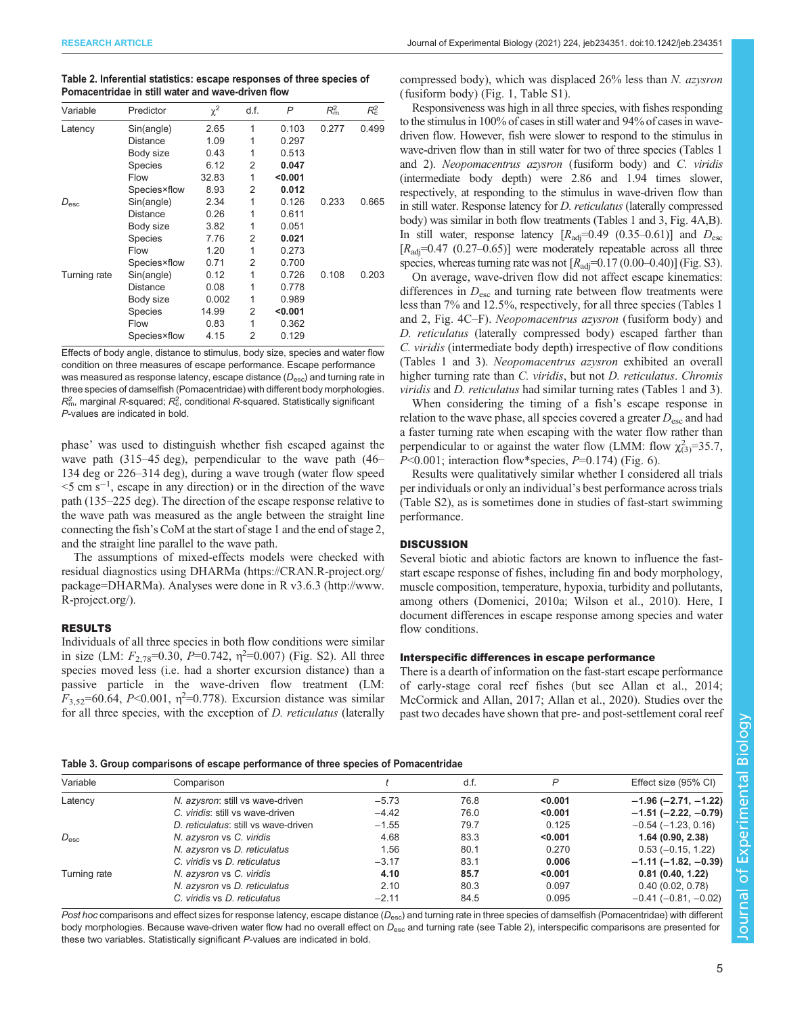| Variable      | Predictor       | $\chi^2$ | d.f. | P       | $R_{\rm m}^2$ | $R_{\rm c}^2$ |
|---------------|-----------------|----------|------|---------|---------------|---------------|
| Latency       | Sin(angle)      | 2.65     | 1    | 0.103   | 0.277         | 0.499         |
|               | Distance        | 1.09     | 1    | 0.297   |               |               |
|               | Body size       | 0.43     | 1    | 0.513   |               |               |
|               | <b>Species</b>  | 6.12     | 2    | 0.047   |               |               |
|               | Flow            | 32.83    | 1    | < 0.001 |               |               |
|               | Species×flow    | 8.93     | 2    | 0.012   |               |               |
| $D_{\rm esc}$ | Sin(angle)      | 2.34     | 1    | 0.126   | 0.233         | 0.665         |
|               | Distance        | 0.26     | 1    | 0.611   |               |               |
|               | Body size       | 3.82     | 1    | 0.051   |               |               |
|               | <b>Species</b>  | 7.76     | 2    | 0.021   |               |               |
|               | Flow            | 1.20     | 1    | 0.273   |               |               |
|               | Species×flow    | 0.71     | 2    | 0.700   |               |               |
| Turning rate  | Sin(angle)      | 0.12     | 1    | 0.726   | 0.108         | 0.203         |
|               | <b>Distance</b> | 0.08     | 1    | 0.778   |               |               |
|               | Body size       | 0.002    | 1    | 0.989   |               |               |
|               | <b>Species</b>  | 14.99    | 2    | < 0.001 |               |               |
|               | Flow            | 0.83     | 1    | 0.362   |               |               |
|               | Species×flow    | 4.15     | 2    | 0.129   |               |               |

<span id="page-4-0"></span>Table 2. Inferential statistics: escape responses of three species of Pomacentridae in still water and wave-driven flow

Effects of body angle, distance to stimulus, body size, species and water flow condition on three measures of escape performance. Escape performance was measured as response latency, escape distance  $(D_{\rm esc})$  and turning rate in three species of damselfish (Pomacentridae) with different body morphologies.  $\mathcal{R}_{\mathsf{m}}^2$ , marginal  $\mathcal{R}$ -squared;  $\mathcal{R}_{\mathsf{c}}^2$ , conditional  $\mathcal{R}$ -squared. Statistically significant P-values are indicated in bold.

phase' was used to distinguish whether fish escaped against the wave path (315–45 deg), perpendicular to the wave path (46– 134 deg or 226–314 deg), during a wave trough (water flow speed <5 cm s−<sup>1</sup> , escape in any direction) or in the direction of the wave path (135–225 deg). The direction of the escape response relative to the wave path was measured as the angle between the straight line connecting the fish's CoM at the start of stage 1 and the end of stage 2, and the straight line parallel to the wave path.

The assumptions of mixed-effects models were checked with residual diagnostics using DHARMa [\(https://CRAN.R-project.org/](https://CRAN.R-project.org/package=DHARMa) [package=DHARMa\)](https://CRAN.R-project.org/package=DHARMa). Analyses were done in R v3.6.3 ([http://www.](http://www.R-project.org/) [R-project.org/\)](http://www.R-project.org/).

## RESULTS

Individuals of all three species in both flow conditions were similar in size (LM:  $F_{2,78}$ =0.30, P=0.742,  $\eta$ <sup>2</sup>=0.007) ([Fig. S2](http://jeb.biologists.org/lookup/doi/10.1242/jeb.234351.supplemental)). All three species moved less (i.e. had a shorter excursion distance) than a passive particle in the wave-driven flow treatment (LM:  $F_{3,52}$ =60.64, P<0.001,  $\eta$ <sup>2</sup>=0.778). Excursion distance was similar for all three species, with the exception of *D. reticulatus* (laterally compressed body), which was displaced 26% less than N. azysron (fusiform body) ([Fig. 1,](#page-1-0) [Table S1\)](http://jeb.biologists.org/lookup/doi/10.1242/jeb.234351.supplemental).

Responsiveness was high in all three species, with fishes responding to the stimulus in 100% of cases in still water and 94% of cases in wavedriven flow. However, fish were slower to respond to the stimulus in wave-driven flow than in still water for two of three species [\(Tables 1](#page-3-0) and 2). Neopomacentrus azysron (fusiform body) and C. viridis (intermediate body depth) were 2.86 and 1.94 times slower, respectively, at responding to the stimulus in wave-driven flow than in still water. Response latency for D. reticulatus (laterally compressed body) was similar in both flow treatments [\(Tables 1](#page-3-0) and 3, [Fig. 4A](#page-5-0),B). In still water, response latency  $[R_{\text{adj}}=0.49 \ (0.35-0.61)]$  and  $D_{\text{esc}}$  $[R_{\text{adi}}=0.47 \ (0.27-0.65)]$  were moderately repeatable across all three species, whereas turning rate was not  $[R_{\text{adi}}=0.17 (0.00-0.40)]$  [\(Fig. S3\)](http://jeb.biologists.org/lookup/doi/10.1242/jeb.234351.supplemental).

On average, wave-driven flow did not affect escape kinematics: differences in  $D_{\text{esc}}$  and turning rate between flow treatments were less than 7% and 12.5%, respectively, for all three species [\(Tables 1](#page-3-0) and 2, [Fig. 4C](#page-5-0)–F). Neopomacentrus azysron (fusiform body) and D. reticulatus (laterally compressed body) escaped farther than C. viridis (intermediate body depth) irrespective of flow conditions [\(Tables 1](#page-3-0) and 3). Neopomacentrus azysron exhibited an overall higher turning rate than C. viridis, but not D. reticulatus. Chromis viridis and D. reticulatus had similar turning rates ([Tables 1](#page-3-0) and 3).

When considering the timing of a fish's escape response in relation to the wave phase, all species covered a greater  $D_{\rm esc}$  and had a faster turning rate when escaping with the water flow rather than perpendicular to or against the water flow (LMM: flow  $\chi^2_{(3)}$ =35.7,  $P<0.001$ ; interaction flow\*species,  $P=0.174$ ) [\(Fig. 6\)](#page-7-0).

Results were qualitatively similar whether I considered all trials per individuals or only an individual's best performance across trials [\(Table S2\)](http://jeb.biologists.org/lookup/doi/10.1242/jeb.234351.supplemental), as is sometimes done in studies of fast-start swimming performance.

## **DISCUSSION**

Several biotic and abiotic factors are known to influence the faststart escape response of fishes, including fin and body morphology, muscle composition, temperature, hypoxia, turbidity and pollutants, among others [\(Domenici, 2010a](#page-8-0); [Wilson et al., 2010\)](#page-10-0). Here, I document differences in escape response among species and water flow conditions.

### Interspecific differences in escape performance

There is a dearth of information on the fast-start escape performance of early-stage coral reef fishes (but see [Allan et al., 2014](#page-8-0); [McCormick and Allan, 2017;](#page-9-0) [Allan et al., 2020](#page-8-0)). Studies over the past two decades have shown that pre- and post-settlement coral reef

#### Table 3. Group comparisons of escape performance of three species of Pomacentridae

| Variable      | Comparison                           |         | d.f. | P       | Effect size (95% CI)          |  |
|---------------|--------------------------------------|---------|------|---------|-------------------------------|--|
| Latency       | N. azysron: still vs wave-driven     | $-5.73$ | 76.8 | < 0.001 | $-1.96(-2.71, -1.22)$         |  |
|               | C. viridis: still vs wave-driven     | $-4.42$ | 76.0 | < 0.001 | $-1.51$ ( $-2.22, -0.79$ )    |  |
|               | D. reticulatus: still vs wave-driven | $-1.55$ | 79.7 | 0.125   | $-0.54$ ( $-1.23$ , 0.16)     |  |
| $D_{\rm esc}$ | N. azysron vs C. viridis             | 4.68    | 83.3 | < 0.001 | 1.64(0.90, 2.38)              |  |
|               | N. azysron vs D. reticulatus         | 1.56    | 80.1 | 0.270   | $0.53(-0.15, 1.22)$           |  |
|               | C. viridis vs D. reticulatus         | $-3.17$ | 83.1 | 0.006   | $-1.11(-1.82, -0.39)$         |  |
| Turning rate  | N. azysron vs C. viridis             | 4.10    | 85.7 | < 0.001 | 0.81(0.40, 1.22)              |  |
|               | N. azysron vs D. reticulatus         | 2.10    | 80.3 | 0.097   | 0.40(0.02, 0.78)              |  |
|               | C. viridis vs D. reticulatus         | $-2.11$ | 84.5 | 0.095   | $-0.41$ ( $-0.81$ , $-0.02$ ) |  |

Post hoc comparisons and effect sizes for response latency, escape distance ( $D_{\text{esc}}$ ) and turning rate in three species of damselfish (Pomacentridae) with different body morphologies. Because wave-driven water flow had no overall effect on  $D_{\rm esc}$  and turning rate (see Table 2), interspecific comparisons are presented for these two variables. Statistically significant P-values are indicated in bold.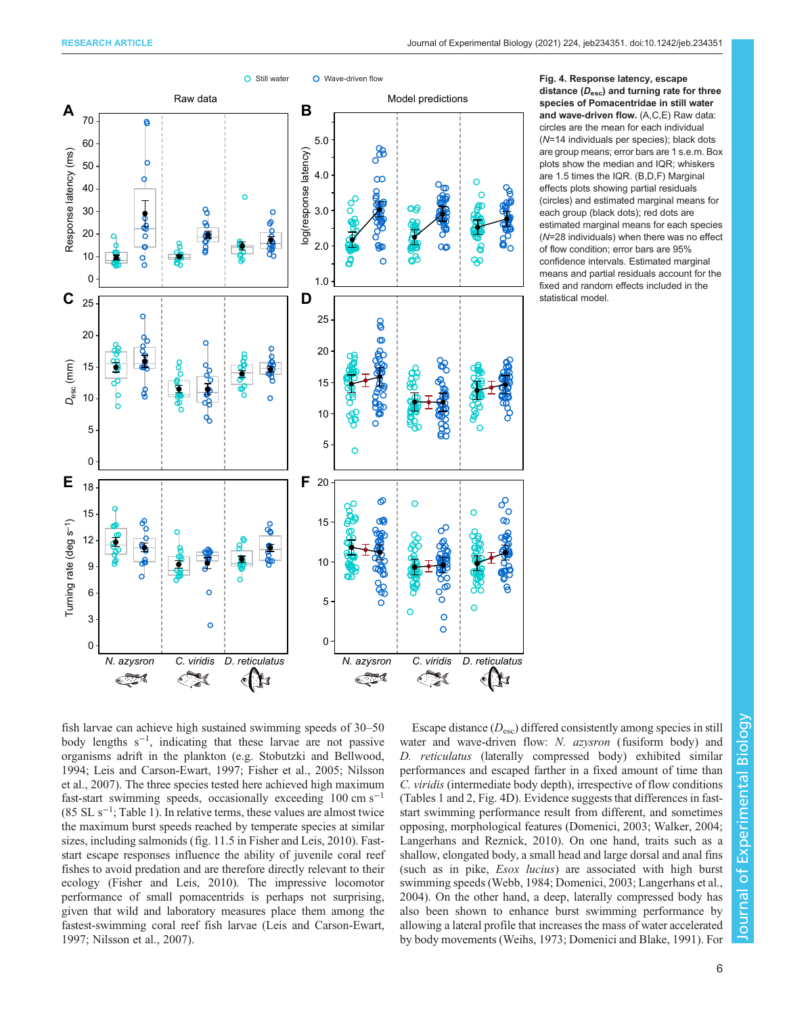<span id="page-5-0"></span>

Fig. 4. Response latency, escape distance  $(D_{\text{esc}})$  and turning rate for three species of Pomacentridae in still water and wave-driven flow. (A,C,E) Raw data: circles are the mean for each individual (N=14 individuals per species); black dots are group means; error bars are 1 s.e.m. Box plots show the median and IQR; whiskers are 1.5 times the IQR. (B,D,F) Marginal effects plots showing partial residuals (circles) and estimated marginal means for each group (black dots); red dots are estimated marginal means for each species (N=28 individuals) when there was no effect of flow condition; error bars are 95% confidence intervals. Estimated marginal means and partial residuals account for the fixed and random effects included in the statistical model.

fish larvae can achieve high sustained swimming speeds of 30–50 body lengths s−<sup>1</sup> , indicating that these larvae are not passive organisms adrift in the plankton (e.g. [Stobutzki and Bellwood,](#page-10-0) [1994](#page-10-0); [Leis and Carson-Ewart, 1997](#page-9-0); [Fisher et al., 2005; Nilsson](#page-9-0) [et al., 2007\)](#page-9-0). The three species tested here achieved high maximum fast-start swimming speeds, occasionally exceeding  $100 \text{ cm s}^{-1}$ (85 SL s−<sup>1</sup> ; [Table 1\)](#page-3-0). In relative terms, these values are almost twice the maximum burst speeds reached by temperate species at similar sizes, including salmonids (fig. 11.5 in [Fisher and Leis, 2010](#page-9-0)). Faststart escape responses influence the ability of juvenile coral reef fishes to avoid predation and are therefore directly relevant to their ecology [\(Fisher and Leis, 2010](#page-9-0)). The impressive locomotor performance of small pomacentrids is perhaps not surprising, given that wild and laboratory measures place them among the fastest-swimming coral reef fish larvae ([Leis and Carson-Ewart,](#page-9-0) [1997](#page-9-0); [Nilsson et al., 2007](#page-9-0)).

Escape distance  $(D_{\rm esc})$  differed consistently among species in still water and wave-driven flow: N. azysron (fusiform body) and D. reticulatus (laterally compressed body) exhibited similar performances and escaped farther in a fixed amount of time than C. viridis (intermediate body depth), irrespective of flow conditions [\(Tables 1](#page-3-0) and [2,](#page-4-0) Fig. 4D). Evidence suggests that differences in faststart swimming performance result from different, and sometimes opposing, morphological features [\(Domenici, 2003](#page-8-0); [Walker, 2004](#page-10-0); [Langerhans and Reznick, 2010\)](#page-9-0). On one hand, traits such as a shallow, elongated body, a small head and large dorsal and anal fins (such as in pike, *Esox lucius*) are associated with high burst swimming speeds ([Webb, 1984](#page-10-0); [Domenici, 2003;](#page-8-0) [Langerhans et al.,](#page-9-0) [2004\)](#page-9-0). On the other hand, a deep, laterally compressed body has also been shown to enhance burst swimming performance by allowing a lateral profile that increases the mass of water accelerated by body movements [\(Weihs, 1973](#page-10-0); [Domenici and Blake, 1991\)](#page-9-0). For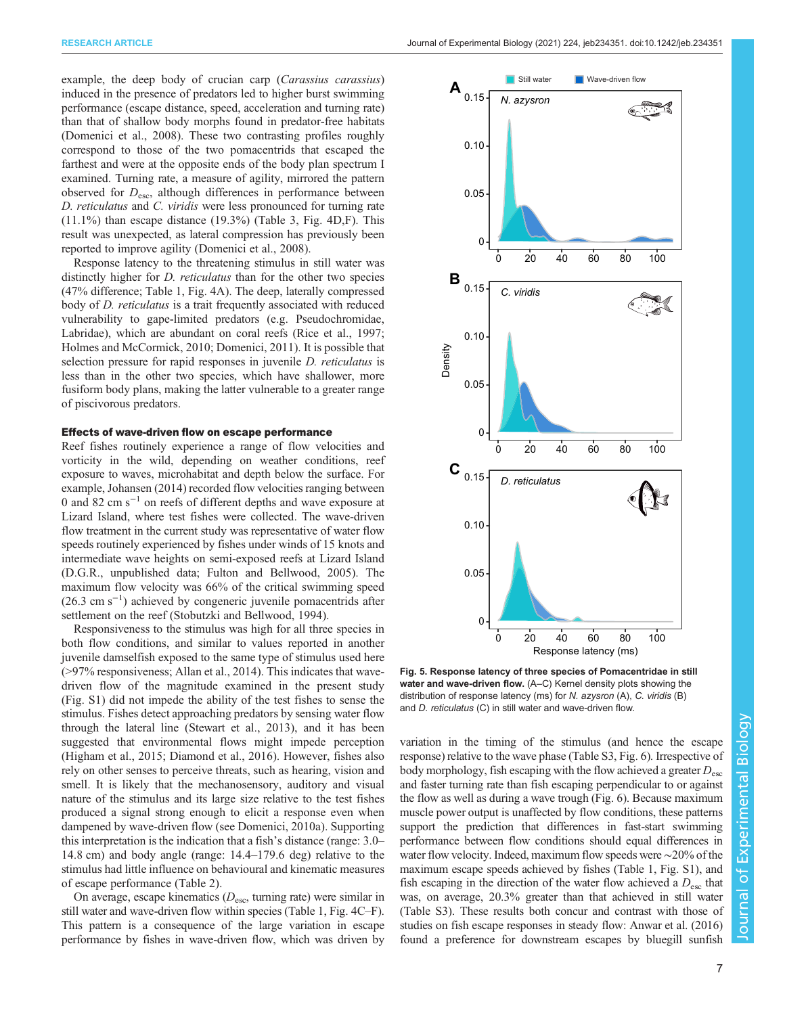<span id="page-6-0"></span>example, the deep body of crucian carp (*Carassius carassius*) induced in the presence of predators led to higher burst swimming performance (escape distance, speed, acceleration and turning rate) than that of shallow body morphs found in predator-free habitats [\(Domenici et al., 2008\)](#page-9-0). These two contrasting profiles roughly correspond to those of the two pomacentrids that escaped the farthest and were at the opposite ends of the body plan spectrum I examined. Turning rate, a measure of agility, mirrored the pattern observed for  $D_{\text{esc}}$ , although differences in performance between D. reticulatus and C. viridis were less pronounced for turning rate  $(11.1\%)$  than escape distance  $(19.3\%)$  [\(Table 3,](#page-4-0) [Fig. 4D](#page-5-0),F). This result was unexpected, as lateral compression has previously been reported to improve agility ([Domenici et al., 2008](#page-9-0)).

Response latency to the threatening stimulus in still water was distinctly higher for *D. reticulatus* than for the other two species (47% difference; [Table 1,](#page-3-0) [Fig. 4A](#page-5-0)). The deep, laterally compressed body of *D. reticulatus* is a trait frequently associated with reduced vulnerability to gape-limited predators (e.g. Pseudochromidae, Labridae), which are abundant on coral reefs [\(Rice et al., 1997](#page-9-0); [Holmes and McCormick, 2010](#page-9-0); [Domenici, 2011](#page-9-0)). It is possible that selection pressure for rapid responses in juvenile *D. reticulatus* is less than in the other two species, which have shallower, more fusiform body plans, making the latter vulnerable to a greater range of piscivorous predators.

#### Effects of wave-driven flow on escape performance

Reef fishes routinely experience a range of flow velocities and vorticity in the wild, depending on weather conditions, reef exposure to waves, microhabitat and depth below the surface. For example, [Johansen \(2014\)](#page-9-0) recorded flow velocities ranging between 0 and 82 cm s−<sup>1</sup> on reefs of different depths and wave exposure at Lizard Island, where test fishes were collected. The wave-driven flow treatment in the current study was representative of water flow speeds routinely experienced by fishes under winds of 15 knots and intermediate wave heights on semi-exposed reefs at Lizard Island (D.G.R., unpublished data; [Fulton and Bellwood, 2005](#page-9-0)). The maximum flow velocity was 66% of the critical swimming speed (26.3 cm s−<sup>1</sup> ) achieved by congeneric juvenile pomacentrids after settlement on the reef ([Stobutzki and Bellwood, 1994\)](#page-10-0).

Responsiveness to the stimulus was high for all three species in both flow conditions, and similar to values reported in another juvenile damselfish exposed to the same type of stimulus used here (>97% responsiveness; [Allan et al., 2014\)](#page-8-0). This indicates that wavedriven flow of the magnitude examined in the present study [\(Fig. S1](http://jeb.biologists.org/lookup/doi/10.1242/jeb.234351.supplemental)) did not impede the ability of the test fishes to sense the stimulus. Fishes detect approaching predators by sensing water flow through the lateral line [\(Stewart et al., 2013\)](#page-10-0), and it has been suggested that environmental flows might impede perception [\(Higham et al., 2015;](#page-9-0) [Diamond et al., 2016\)](#page-8-0). However, fishes also rely on other senses to perceive threats, such as hearing, vision and smell. It is likely that the mechanosensory, auditory and visual nature of the stimulus and its large size relative to the test fishes produced a signal strong enough to elicit a response even when dampened by wave-driven flow (see [Domenici, 2010a](#page-8-0)). Supporting this interpretation is the indication that a fish's distance (range: 3.0– 14.8 cm) and body angle (range: 14.4–179.6 deg) relative to the stimulus had little influence on behavioural and kinematic measures of escape performance [\(Table 2](#page-4-0)).

On average, escape kinematics  $(D_{\rm esc}, \text{turning rate})$  were similar in still water and wave-driven flow within species [\(Table 1,](#page-3-0) [Fig. 4C](#page-5-0)–F). This pattern is a consequence of the large variation in escape performance by fishes in wave-driven flow, which was driven by



Fig. 5. Response latency of three species of Pomacentridae in still water and wave-driven flow. (A–C) Kernel density plots showing the distribution of response latency (ms) for N. azysron (A), C. viridis (B) and D. reticulatus (C) in still water and wave-driven flow.

variation in the timing of the stimulus (and hence the escape response) relative to the wave phase ([Table S3,](http://jeb.biologists.org/lookup/doi/10.1242/jeb.234351.supplemental) [Fig. 6](#page-7-0)). Irrespective of body morphology, fish escaping with the flow achieved a greater  $D_{\rm esc}$ and faster turning rate than fish escaping perpendicular to or against the flow as well as during a wave trough [\(Fig. 6\)](#page-7-0). Because maximum muscle power output is unaffected by flow conditions, these patterns support the prediction that differences in fast-start swimming performance between flow conditions should equal differences in water flow velocity. Indeed, maximum flow speeds were ∼20% of the maximum escape speeds achieved by fishes ([Table 1](#page-3-0), [Fig. S1](http://jeb.biologists.org/lookup/doi/10.1242/jeb.234351.supplemental)), and fish escaping in the direction of the water flow achieved a  $D_{\text{esc}}$  that was, on average, 20.3% greater than that achieved in still water [\(Table S3\)](http://jeb.biologists.org/lookup/doi/10.1242/jeb.234351.supplemental). These results both concur and contrast with those of studies on fish escape responses in steady flow: [Anwar et al. \(2016\)](#page-8-0) found a preference for downstream escapes by bluegill sunfish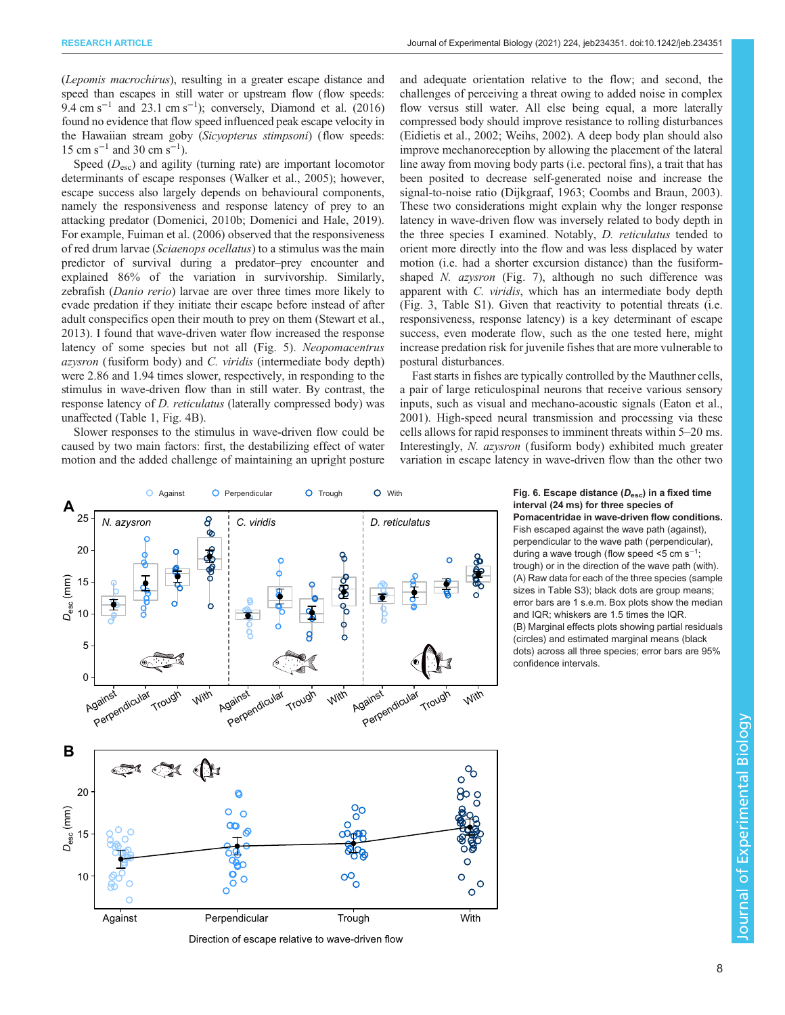<span id="page-7-0"></span>(Lepomis macrochirus), resulting in a greater escape distance and speed than escapes in still water or upstream flow (flow speeds:  $9.4 \text{ cm s}^{-1}$  and 23.1 cm s<sup>-1</sup>); conversely, [Diamond et al. \(2016\)](#page-8-0) found no evidence that flow speed influenced peak escape velocity in the Hawaiian stream goby (Sicyopterus stimpsoni) (flow speeds:  $15 \text{ cm s}^{-1}$  and 30 cm s<sup>-1</sup>).

Speed  $(D_{\rm esc})$  and agility (turning rate) are important locomotor determinants of escape responses [\(Walker et al., 2005\)](#page-10-0); however, escape success also largely depends on behavioural components, namely the responsiveness and response latency of prey to an attacking predator ([Domenici, 2010b](#page-8-0); [Domenici and Hale, 2019\)](#page-9-0). For example, [Fuiman et al. \(2006\)](#page-9-0) observed that the responsiveness of red drum larvae (Sciaenops ocellatus) to a stimulus was the main predictor of survival during a predator–prey encounter and explained 86% of the variation in survivorship. Similarly, zebrafish (Danio rerio) larvae are over three times more likely to evade predation if they initiate their escape before instead of after adult conspecifics open their mouth to prey on them ([Stewart et al.,](#page-10-0) [2013](#page-10-0)). I found that wave-driven water flow increased the response latency of some species but not all ([Fig. 5\)](#page-6-0). Neopomacentrus azysron (fusiform body) and C. viridis (intermediate body depth) were 2.86 and 1.94 times slower, respectively, in responding to the stimulus in wave-driven flow than in still water. By contrast, the response latency of D. reticulatus (laterally compressed body) was unaffected [\(Table 1,](#page-3-0) [Fig. 4](#page-5-0)B).

Slower responses to the stimulus in wave-driven flow could be caused by two main factors: first, the destabilizing effect of water motion and the added challenge of maintaining an upright posture and adequate orientation relative to the flow; and second, the challenges of perceiving a threat owing to added noise in complex flow versus still water. All else being equal, a more laterally compressed body should improve resistance to rolling disturbances [\(Eidietis et al., 2002;](#page-9-0) [Weihs, 2002](#page-10-0)). A deep body plan should also improve mechanoreception by allowing the placement of the lateral line away from moving body parts (i.e. pectoral fins), a trait that has been posited to decrease self-generated noise and increase the signal-to-noise ratio ([Dijkgraaf, 1963](#page-8-0); [Coombs and Braun, 2003\)](#page-8-0). These two considerations might explain why the longer response latency in wave-driven flow was inversely related to body depth in the three species I examined. Notably, D. reticulatus tended to orient more directly into the flow and was less displaced by water motion (i.e. had a shorter excursion distance) than the fusiformshaped N. azysron (Fig. 7), although no such difference was apparent with C. viridis, which has an intermediate body depth [\(Fig. 3,](#page-2-0) [Table S1](http://jeb.biologists.org/lookup/doi/10.1242/jeb.234351.supplemental)). Given that reactivity to potential threats (i.e. responsiveness, response latency) is a key determinant of escape success, even moderate flow, such as the one tested here, might increase predation risk for juvenile fishes that are more vulnerable to postural disturbances.

Fast starts in fishes are typically controlled by the Mauthner cells, a pair of large reticulospinal neurons that receive various sensory inputs, such as visual and mechano-acoustic signals ([Eaton et al.,](#page-9-0) [2001\)](#page-9-0). High-speed neural transmission and processing via these cells allows for rapid responses to imminent threats within 5–20 ms. Interestingly, N. azysron (fusiform body) exhibited much greater variation in escape latency in wave-driven flow than the other two



Direction of escape relative to wave-driven flow

interval (24 ms) for three species of

Pomacentridae in wave-driven flow conditions. Fish escaped against the wave path (against), perpendicular to the wave path (perpendicular), during a wave trough (flow speed <5 cm  $s^{-1}$ ; trough) or in the direction of the wave path (with). (A) Raw data for each of the three species (sample sizes in [Table S3](http://jeb.biologists.org/lookup/doi/10.1242/jeb.234351.supplemental)); black dots are group means; error bars are 1 s.e.m. Box plots show the median and IQR; whiskers are 1.5 times the IQR. (B) Marginal effects plots showing partial residuals (circles) and estimated marginal means (black dots) across all three species; error bars are 95% confidence intervals.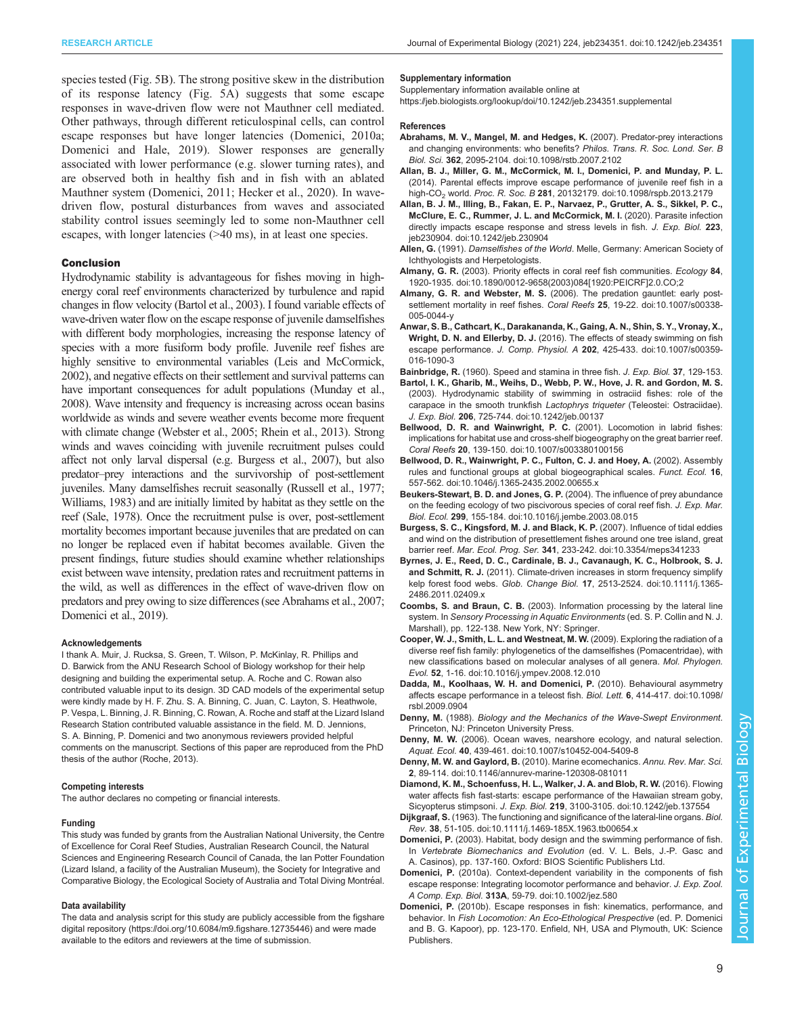<span id="page-8-0"></span>species tested ([Fig. 5B](#page-6-0)). The strong positive skew in the distribution of its response latency ([Fig. 5](#page-6-0)A) suggests that some escape responses in wave-driven flow were not Mauthner cell mediated. Other pathways, through different reticulospinal cells, can control escape responses but have longer latencies (Domenici, 2010a; [Domenici and Hale, 2019\)](#page-9-0). Slower responses are generally associated with lower performance (e.g. slower turning rates), and are observed both in healthy fish and in fish with an ablated Mauthner system [\(Domenici, 2011; Hecker et al., 2020\)](#page-9-0). In wavedriven flow, postural disturbances from waves and associated stability control issues seemingly led to some non-Mauthner cell escapes, with longer latencies (>40 ms), in at least one species.

#### Conclusion

Hydrodynamic stability is advantageous for fishes moving in highenergy coral reef environments characterized by turbulence and rapid changes in flow velocity (Bartol et al., 2003). I found variable effects of wave-driven water flow on the escape response of juvenile damselfishes with different body morphologies, increasing the response latency of species with a more fusiform body profile. Juvenile reef fishes are highly sensitive to environmental variables [\(Leis and McCormick,](#page-9-0) [2002](#page-9-0)), and negative effects on their settlement and survival patterns can have important consequences for adult populations [\(Munday et al.,](#page-9-0) [2008](#page-9-0)). Wave intensity and frequency is increasing across ocean basins worldwide as winds and severe weather events become more frequent with climate change [\(Webster et al., 2005](#page-10-0); [Rhein et al., 2013](#page-9-0)). Strong winds and waves coinciding with juvenile recruitment pulses could affect not only larval dispersal (e.g. Burgess et al., 2007), but also predator–prey interactions and the survivorship of post-settlement juveniles. Many damselfishes recruit seasonally [\(Russell et al., 1977](#page-10-0); [Williams, 1983\)](#page-10-0) and are initially limited by habitat as they settle on the reef [\(Sale, 1978](#page-10-0)). Once the recruitment pulse is over, post-settlement mortality becomes important because juveniles that are predated on can no longer be replaced even if habitat becomes available. Given the present findings, future studies should examine whether relationships exist between wave intensity, predation rates and recruitment patterns in the wild, as well as differences in the effect of wave-driven flow on predators and prey owing to size differences (see Abrahams et al., 2007; [Domenici et al., 2019](#page-9-0)).

#### Acknowledgements

I thank A. Muir, J. Rucksa, S. Green, T. Wilson, P. McKinlay, R. Phillips and D. Barwick from the ANU Research School of Biology workshop for their help designing and building the experimental setup. A. Roche and C. Rowan also contributed valuable input to its design. 3D CAD models of the experimental setup were kindly made by H. F. Zhu. S. A. Binning, C. Juan, C. Layton, S. Heathwole, P. Vespa, L. Binning, J. R. Binning, C. Rowan, A. Roche and staff at the Lizard Island Research Station contributed valuable assistance in the field. M. D. Jennions, S. A. Binning, P. Domenici and two anonymous reviewers provided helpful comments on the manuscript. Sections of this paper are reproduced from the PhD thesis of the author [\(Roche, 2013\)](#page-9-0).

#### Competing interests

The author declares no competing or financial interests.

#### Funding

This study was funded by grants from the Australian National University, the Centre of Excellence for Coral Reef Studies, Australian Research Council, the Natural Sciences and Engineering Research Council of Canada, the Ian Potter Foundation (Lizard Island, a facility of the Australian Museum), the Society for Integrative and Comparative Biology, the Ecological Society of Australia and Total Diving Montréal.

#### Data availability

The data and analysis script for this study are publicly accessible from the figshare digital repository ([https://doi.](https://doi)org/10.6084/m9.figshare.12735446) and were made available to the editors and reviewers at the time of submission.

#### Supplementary information

Supplementary information available online at <https://jeb.biologists.org/lookup/doi/10.1242/jeb.234351.supplemental>

#### References

- [Abrahams, M. V., Mangel, M. and Hedges, K.](https://doi.org/10.1098/rstb.2007.2102) (2007). Predator-prey interactions [and changing environments: who benefits?](https://doi.org/10.1098/rstb.2007.2102) Philos. Trans. R. Soc. Lond. Ser. B Biol. Sci. 362[, 2095-2104. doi:10.1098/rstb.2007.2102](https://doi.org/10.1098/rstb.2007.2102)
- [Allan, B. J., Miller, G. M., McCormick, M. I., Domenici, P. and Munday, P. L.](https://doi.org/10.1098/rspb.2013.2179) [\(2014\). Parental effects improve escape performance of juvenile reef fish in a](https://doi.org/10.1098/rspb.2013.2179) high-CO<sub>2</sub> world. Proc. R. Soc. B 281[, 20132179. doi:10.1098/rspb.2013.2179](https://doi.org/10.1098/rspb.2013.2179)
- [Allan, B. J. M., Illing, B., Fakan, E. P., Narvaez, P., Grutter, A. S., Sikkel, P. C.,](https://doi.org/10.1242/jeb.230904) [McClure, E. C., Rummer, J. L. and McCormick, M. I.](https://doi.org/10.1242/jeb.230904) (2020). Parasite infection [directly impacts escape response and stress levels in fish.](https://doi.org/10.1242/jeb.230904) J. Exp. Biol. 223, [jeb230904. doi:10.1242/jeb.230904](https://doi.org/10.1242/jeb.230904)
- Allen, G. (1991). Damselfishes of the World. Melle, Germany: American Society of Ichthyologists and Herpetologists.
- Almany, G. R. [\(2003\). Priority effects in coral reef fish communities.](https://doi.org/10.1890/0012-9658(2003)084[1920:PEICRF]2.0.CO;2) Ecology 84, [1920-1935. doi:10.1890/0012-9658\(2003\)084\[1920:PEICRF\]2.0.CO;2](https://doi.org/10.1890/0012-9658(2003)084[1920:PEICRF]2.0.CO;2)
- Almany, G. R. and Webster, M. S. [\(2006\). The predation gauntlet: early post](https://doi.org/10.1007/s00338-005-0044-y)[settlement mortality in reef fishes.](https://doi.org/10.1007/s00338-005-0044-y) Coral Reefs 25, 19-22. doi:10.1007/s00338- [005-0044-y](https://doi.org/10.1007/s00338-005-0044-y)
- [Anwar, S. B., Cathcart, K., Darakananda, K., Gaing, A. N., Shin, S. Y., Vronay, X.,](https://doi.org/10.1007/s00359-016-1090-3) Wright, D. N. and Ellerby, D. J. [\(2016\). The effects of steady swimming on fish](https://doi.org/10.1007/s00359-016-1090-3) escape performance. J. Comp. Physiol. A 202[, 425-433. doi:10.1007/s00359-](https://doi.org/10.1007/s00359-016-1090-3) [016-1090-3](https://doi.org/10.1007/s00359-016-1090-3)
- Bainbridge, R. (1960). Speed and stamina in three fish. J. Exp. Biol. 37, 129-153. [Bartol, I. K., Gharib, M., Weihs, D., Webb, P. W., Hove, J. R. and Gordon, M. S.](https://doi.org/10.1242/jeb.00137)
- [\(2003\). Hydrodynamic stability of swimming in ostraciid fishes: role of the](https://doi.org/10.1242/jeb.00137) [carapace in the smooth trunkfish](https://doi.org/10.1242/jeb.00137) Lactophrys triqueter (Teleostei: Ostraciidae). J. Exp. Biol. 206[, 725-744. doi:10.1242/jeb.00137](https://doi.org/10.1242/jeb.00137)
- [Bellwood, D. R. and Wainwright, P. C.](https://doi.org/10.1007/s003380100156) (2001). Locomotion in labrid fishes: [implications for habitat use and cross-shelf biogeography on the great barrier reef.](https://doi.org/10.1007/s003380100156) Coral Reefs 20[, 139-150. doi:10.1007/s003380100156](https://doi.org/10.1007/s003380100156)
- [Bellwood, D. R., Wainwright, P. C., Fulton, C. J. and Hoey, A.](https://doi.org/10.1046/j.1365-2435.2002.00655.x) (2002). Assembly [rules and functional groups at global biogeographical scales.](https://doi.org/10.1046/j.1365-2435.2002.00655.x) Funct. Ecol. 16, [557-562. doi:10.1046/j.1365-2435.2002.00655.x](https://doi.org/10.1046/j.1365-2435.2002.00655.x)
- [Beukers-Stewart, B. D. and Jones, G. P.](https://doi.org/10.1016/j.jembe.2003.08.015) (2004). The influence of prey abundance [on the feeding ecology of two piscivorous species of coral reef fish.](https://doi.org/10.1016/j.jembe.2003.08.015) J. Exp. Mar. Biol. Ecol. 299[, 155-184. doi:10.1016/j.jembe.2003.08.015](https://doi.org/10.1016/j.jembe.2003.08.015)
- [Burgess, S. C., Kingsford, M. J. and Black, K. P.](https://doi.org/10.3354/meps341233) (2007). Influence of tidal eddies [and wind on the distribution of presettlement fishes around one tree island, great](https://doi.org/10.3354/meps341233) barrier reef. Mar. Ecol. Prog. Ser. 341[, 233-242. doi:10.3354/meps341233](https://doi.org/10.3354/meps341233)
- [Byrnes, J. E., Reed, D. C., Cardinale, B. J., Cavanaugh, K. C., Holbrook, S. J.](https://doi.org/10.1111/j.1365-2486.2011.02409.x) and Schmitt, R. J. [\(2011\). Climate-driven increases in storm frequency simplify](https://doi.org/10.1111/j.1365-2486.2011.02409.x) kelp forest food webs. Glob. Change Biol. 17[, 2513-2524. doi:10.1111/j.1365-](https://doi.org/10.1111/j.1365-2486.2011.02409.x) [2486.2011.02409.x](https://doi.org/10.1111/j.1365-2486.2011.02409.x)
- Coombs, S. and Braun, C. B. (2003). Information processing by the lateral line system. In Sensory Processing in Aquatic Environments (ed. S. P. Collin and N. J. Marshall), pp. 122-138. New York, NY: Springer.
- [Cooper, W. J., Smith, L. L. and Westneat, M. W.](https://doi.org/10.1016/j.ympev.2008.12.010) (2009). Exploring the radiation of a [diverse reef fish family: phylogenetics of the damselfishes \(Pomacentridae\), with](https://doi.org/10.1016/j.ympev.2008.12.010) [new classifications based on molecular analyses of all genera.](https://doi.org/10.1016/j.ympev.2008.12.010) Mol. Phylogen. Evol. 52[, 1-16. doi:10.1016/j.ympev.2008.12.010](https://doi.org/10.1016/j.ympev.2008.12.010)
- [Dadda, M., Koolhaas, W. H. and Domenici, P.](https://doi.org/10.1098/rsbl.2009.0904) (2010). Behavioural asymmetry [affects escape performance in a teleost fish.](https://doi.org/10.1098/rsbl.2009.0904) Biol. Lett. 6, 414-417. doi:10.1098/ [rsbl.2009.0904](https://doi.org/10.1098/rsbl.2009.0904)
- Denny, M. (1988). Biology and the Mechanics of the Wave-Swept Environment. Princeton, NJ: Princeton University Press.
- Denny, M. W. (2006). Ocean waves, nearshore ecology, and natural selection Aquat. Ecol. 40[, 439-461. doi:10.1007/s10452-004-5409-8](https://doi.org/10.1007/s10452-004-5409-8)
- [Denny, M. W. and Gaylord, B.](https://doi.org/10.1146/annurev-marine-120308-081011) (2010). Marine ecomechanics. Annu. Rev. Mar. Sci. 2[, 89-114. doi:10.1146/annurev-marine-120308-081011](https://doi.org/10.1146/annurev-marine-120308-081011)
- [Diamond, K. M., Schoenfuss, H. L., Walker, J. A. and Blob, R. W.](https://doi.org/10.1242/jeb.137554) (2016). Flowing [water affects fish fast-starts: escape performance of the Hawaiian stream goby,](https://doi.org/10.1242/jeb.137554) Sicyopterus stimpsoni. J. Exp. Biol. 219[, 3100-3105. doi:10.1242/jeb.137554](https://doi.org/10.1242/jeb.137554)
- Dijkgraaf, S. [\(1963\). The functioning and significance of the lateral-line organs.](https://doi.org/10.1111/j.1469-185X.1963.tb00654.x) Biol. Rev. 38[, 51-105. doi:10.1111/j.1469-185X.1963.tb00654.x](https://doi.org/10.1111/j.1469-185X.1963.tb00654.x)
- Domenici, P. (2003). Habitat, body design and the swimming performance of fish. In Vertebrate Biomechanics and Evolution (ed. V. L. Bels, J.-P. Gasc and A. Casinos), pp. 137-160. Oxford: BIOS Scientific Publishers Ltd.
- Domenici, P. [\(2010a\). Context-dependent variability in the components of fish](https://doi.org/10.1002/jez.580) [escape response: Integrating locomotor performance and behavior.](https://doi.org/10.1002/jez.580) J. Exp. Zool. A Comp. Exp. Biol. 313A[, 59-79. doi:10.1002/jez.580](https://doi.org/10.1002/jez.580)
- Domenici, P. (2010b). Escape responses in fish: kinematics, performance, and behavior. In Fish Locomotion: An Eco-Ethological Prespective (ed. P. Domenici and B. G. Kapoor), pp. 123-170. Enfield, NH, USA and Plymouth, UK: Science Publishers.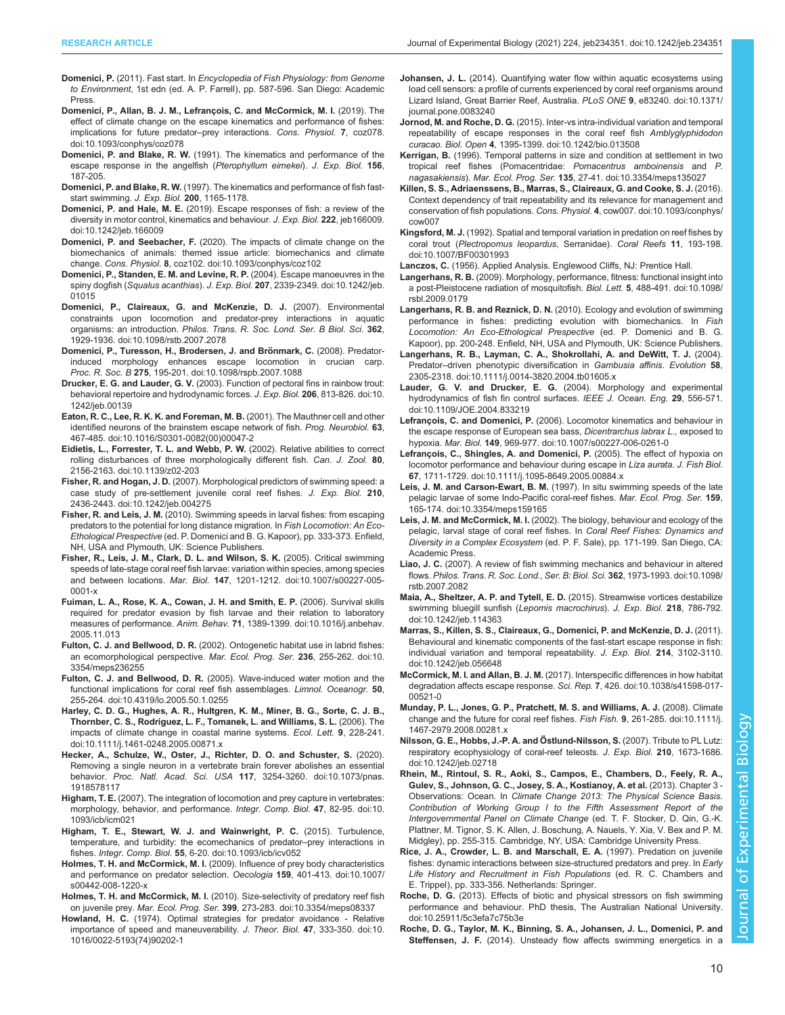- <span id="page-9-0"></span>Domenici, P. (2011). Fast start. In Encyclopedia of Fish Physiology: from Genome to Environment, 1st edn (ed. A. P. Farrell), pp. 587-596. San Diego: Academic Press.
- [Domenici, P., Allan, B. J. M., Lefrançois, C. and McCormick, M. I.](https://doi.org/10.1093/conphys/coz078) (2019). The [effect of climate change on the escape kinematics and performance of fishes:](https://doi.org/10.1093/conphys/coz078) [implications for future predator](https://doi.org/10.1093/conphys/coz078)–prey interactions. Cons. Physiol. 7, coz078. [doi:10.1093/conphys/coz078](https://doi.org/10.1093/conphys/coz078)
- Domenici, P. and Blake, R. W. (1991). The kinematics and performance of the escape response in the angelfish (Pterophyllum eimekei). J. Exp. Biol. 156, 187-205.
- Domenici, P. and Blake, R. W. (1997). The kinematics and performance of fish faststart swimming. J. Exp. Biol. 200, 1165-1178.
- Domenici, P. and Hale, M. E. [\(2019\). Escape responses of fish: a review of the](https://doi.org/10.1242/jeb.166009) [diversity in motor control, kinematics and behaviour.](https://doi.org/10.1242/jeb.166009) J. Exp. Biol. 222, jeb166009. [doi:10.1242/jeb.166009](https://doi.org/10.1242/jeb.166009)
- Domenici, P. and Seebacher, F. [\(2020\). The impacts of climate change on the](https://doi.org/10.1093/conphys/coz102) [biomechanics of animals: themed issue article: biomechanics and climate](https://doi.org/10.1093/conphys/coz102) change. Cons. Physiol. 8[, coz102. doi:10.1093/conphys/coz102](https://doi.org/10.1093/conphys/coz102)
- [Domenici, P., Standen, E. M. and Levine, R. P.](https://doi.org/10.1242/jeb.01015) (2004). Escape manoeuvres in the spiny dogfish (Squalus acanthias). J. Exp. Biol. 207[, 2339-2349. doi:10.1242/jeb.](https://doi.org/10.1242/jeb.01015) [01015](https://doi.org/10.1242/jeb.01015)
- [Domenici, P., Claireaux, G. and McKenzie, D. J.](https://doi.org/10.1098/rstb.2007.2078) (2007). Environmental [constraints upon locomotion and predator-prey interactions in aquatic](https://doi.org/10.1098/rstb.2007.2078) organisms: an introduction. [Philos. Trans. R. Soc. Lond. Ser. B Biol. Sci.](https://doi.org/10.1098/rstb.2007.2078) 362, [1929-1936. doi:10.1098/rstb.2007.2078](https://doi.org/10.1098/rstb.2007.2078)
- Domenici, P., Turesson, H., Brodersen, J. and Brönmark, C. (2008). Predator[induced morphology enhances escape locomotion in crucian carp.](https://doi.org/10.1098/rspb.2007.1088) Proc. R. Soc. B 275[, 195-201. doi:10.1098/rspb.2007.1088](https://doi.org/10.1098/rspb.2007.1088)
- Drucker, E. G. and Lauder, G. V. [\(2003\). Function of pectoral fins in rainbow trout:](https://doi.org/10.1242/jeb.00139) [behavioral repertoire and hydrodynamic forces.](https://doi.org/10.1242/jeb.00139) J. Exp. Biol. 206, 813-826. doi:10. [1242/jeb.00139](https://doi.org/10.1242/jeb.00139)
- [Eaton, R. C., Lee, R. K. K. and Foreman, M. B.](https://doi.org/10.1016/S0301-0082(00)00047-2) (2001). The Mauthner cell and other [identified neurons of the brainstem escape network of fish.](https://doi.org/10.1016/S0301-0082(00)00047-2) Prog. Neurobiol. 63, [467-485. doi:10.1016/S0301-0082\(00\)00047-2](https://doi.org/10.1016/S0301-0082(00)00047-2)
- [Eidietis, L., Forrester, T. L. and Webb, P. W.](https://doi.org/10.1139/z02-203) (2002). Relative abilities to correct [rolling disturbances of three morphologically different fish.](https://doi.org/10.1139/z02-203) Can. J. Zool. 80, [2156-2163. doi:10.1139/z02-203](https://doi.org/10.1139/z02-203)
- Fisher, R. and Hogan, J. D. [\(2007\). Morphological predictors of swimming speed: a](https://doi.org/10.1242/jeb.004275) [case study of pre-settlement juvenile coral reef fishes.](https://doi.org/10.1242/jeb.004275) J. Exp. Biol. 210, [2436-2443. doi:10.1242/jeb.004275](https://doi.org/10.1242/jeb.004275)
- Fisher, R. and Leis, J. M. (2010). Swimming speeds in larval fishes: from escaping predators to the potential for long distance migration. In Fish Locomotion: An Eco-Ethological Prespective (ed. P. Domenici and B. G. Kapoor), pp. 333-373. Enfield, NH, USA and Plymouth, UK: Science Publishers.
- [Fisher, R., Leis, J. M., Clark, D. L. and Wilson, S. K.](https://doi.org/10.1007/s00227-005-0001-x) (2005). Critical swimming [speeds of late-stage coral reef fish larvae: variation within species, among species](https://doi.org/10.1007/s00227-005-0001-x) and between locations. Mar. Biol. 147[, 1201-1212. doi:10.1007/s00227-005-](https://doi.org/10.1007/s00227-005-0001-x) [0001-x](https://doi.org/10.1007/s00227-005-0001-x)
- [Fuiman, L. A., Rose, K. A., Cowan, J. H. and Smith, E. P.](https://doi.org/10.1016/j.anbehav.2005.11.013) (2006). Survival skills [required for predator evasion by fish larvae and their relation to laboratory](https://doi.org/10.1016/j.anbehav.2005.11.013) measures of performance. Anim. Behav. 71[, 1389-1399. doi:10.1016/j.anbehav.](https://doi.org/10.1016/j.anbehav.2005.11.013) [2005.11.013](https://doi.org/10.1016/j.anbehav.2005.11.013)
- Fulton, C. J. and Bellwood, D. R. [\(2002\). Ontogenetic habitat use in labrid fishes:](https://doi.org/10.3354/meps236255) [an ecomorphological perspective.](https://doi.org/10.3354/meps236255) Mar. Ecol. Prog. Ser. 236, 255-262. doi:10. [3354/meps236255](https://doi.org/10.3354/meps236255)
- Fulton, C. J. and Bellwood, D. R. [\(2005\). Wave-induced water motion and the](https://doi.org/10.4319/lo.2005.50.1.0255) [functional implications for coral reef fish assemblages.](https://doi.org/10.4319/lo.2005.50.1.0255) Limnol. Oceanogr. 50, [255-264. doi:10.4319/lo.2005.50.1.0255](https://doi.org/10.4319/lo.2005.50.1.0255)
- [Harley, C. D. G., Hughes, A. R., Hultgren, K. M., Miner, B. G., Sorte, C. J. B.,](https://doi.org/10.1111/j.1461-0248.2005.00871.x) [Thornber, C. S., Rodriguez, L. F., Tomanek, L. and Williams, S. L.](https://doi.org/10.1111/j.1461-0248.2005.00871.x) (2006). The [impacts of climate change in coastal marine systems.](https://doi.org/10.1111/j.1461-0248.2005.00871.x) Ecol. Lett. 9, 228-241. [doi:10.1111/j.1461-0248.2005.00871.x](https://doi.org/10.1111/j.1461-0248.2005.00871.x)
- [Hecker, A., Schulze, W., Oster, J., Richter, D. O. and Schuster, S.](https://doi.org/10.1073/pnas.1918578117) (2020). [Removing a single neuron in a vertebrate brain forever abolishes an essential](https://doi.org/10.1073/pnas.1918578117) behavior. Proc. Natl. Acad. Sci. USA 117[, 3254-3260. doi:10.1073/pnas.](https://doi.org/10.1073/pnas.1918578117) [1918578117](https://doi.org/10.1073/pnas.1918578117)
- Higham, T. E. [\(2007\). The integration of locomotion and prey capture in vertebrates:](https://doi.org/10.1093/icb/icm021) [morphology, behavior, and performance.](https://doi.org/10.1093/icb/icm021) Integr. Comp. Biol. 47, 82-95. doi:10. [1093/icb/icm021](https://doi.org/10.1093/icb/icm021)
- [Higham, T. E., Stewart, W. J. and Wainwright, P. C.](https://doi.org/10.1093/icb/icv052) (2015). Turbulence, [temperature, and turbidity: the ecomechanics of predator](https://doi.org/10.1093/icb/icv052)–prey interactions in fishes. Integr. Comp. Biol. 55[, 6-20. doi:10.1093/icb/icv052](https://doi.org/10.1093/icb/icv052)
- Holmes, T. H. and McCormick, M. I. [\(2009\). Influence of prey body characteristics](https://doi.org/10.1007/s00442-008-1220-x) [and performance on predator selection.](https://doi.org/10.1007/s00442-008-1220-x) Oecologia 159, 401-413. doi:10.1007/ [s00442-008-1220-x](https://doi.org/10.1007/s00442-008-1220-x)
- Holmes, T. H. and McCormick, M. I. [\(2010\). Size-selectivity of predatory reef fish](https://doi.org/10.3354/meps08337) on juvenile prey. Mar. Ecol. Prog. Ser. 399[, 273-283. doi:10.3354/meps08337](https://doi.org/10.3354/meps08337)
- Howland, H. C. [\(1974\). Optimal strategies for predator avoidance Relative](https://doi.org/10.1016/0022-5193(74)90202-1) [importance of speed and maneuverability.](https://doi.org/10.1016/0022-5193(74)90202-1) J. Theor. Biol. 47, 333-350. doi:10. [1016/0022-5193\(74\)90202-1](https://doi.org/10.1016/0022-5193(74)90202-1)
- Johansen, J. L. [\(2014\). Quantifying water flow within aquatic ecosystems using](https://doi.org/10.1371/journal.pone.0083240) [load cell sensors: a profile of currents experienced by coral reef organisms around](https://doi.org/10.1371/journal.pone.0083240) [Lizard Island, Great Barrier Reef, Australia.](https://doi.org/10.1371/journal.pone.0083240) PLoS ONE 9, e83240. doi:10.1371/ [journal.pone.0083240](https://doi.org/10.1371/journal.pone.0083240)
- Jornod, M. and Roche, D. G. [\(2015\). Inter-vs intra-individual variation and temporal](https://doi.org/10.1242/bio.013508) [repeatability of escape responses in the coral reef fish](https://doi.org/10.1242/bio.013508) Amblyglyphidodon curacao. Biol. Open 4[, 1395-1399. doi:10.1242/bio.013508](https://doi.org/10.1242/bio.013508)
- Kerrigan, B. [\(1996\). Temporal patterns in size and condition at settlement in two](https://doi.org/10.3354/meps135027) [tropical reef fishes \(Pomacentridae:](https://doi.org/10.3354/meps135027) Pomacentrus amboinensis and P. nagasakiensis). Mar. Ecol. Prog. Ser. 135[, 27-41. doi:10.3354/meps135027](https://doi.org/10.3354/meps135027)
- [Killen, S. S., Adriaenssens, B., Marras, S., Claireaux, G. and Cooke, S. J.](https://doi.org/10.1093/conphys/cow007) (2016). [Context dependency of trait repeatability and its relevance for management and](https://doi.org/10.1093/conphys/cow007) [conservation of fish populations.](https://doi.org/10.1093/conphys/cow007) Cons. Physiol. 4, cow007. doi:10.1093/conphys/ [cow007](https://doi.org/10.1093/conphys/cow007)
- Kingsford, M. J. [\(1992\). Spatial and temporal variation in predation on reef fishes by](https://doi.org/10.1007/BF00301993) coral trout ([Plectropomus leopardus](https://doi.org/10.1007/BF00301993), Serranidae). Coral Reefs 11, 193-198. [doi:10.1007/BF00301993](https://doi.org/10.1007/BF00301993)
- Lanczos, C. (1956). Applied Analysis. Englewood Cliffs, NJ: Prentice Hall.
- Langerhans, R. B. [\(2009\). Morphology, performance, fitness: functional insight into](https://doi.org/10.1098/rsbl.2009.0179) [a post-Pleistocene radiation of mosquitofish.](https://doi.org/10.1098/rsbl.2009.0179) Biol. Lett. 5, 488-491. doi:10.1098/ [rsbl.2009.0179](https://doi.org/10.1098/rsbl.2009.0179)
- Langerhans, R. B. and Reznick, D. N. (2010). Ecology and evolution of swimming performance in fishes: predicting evolution with biomechanics. In Fish Locomotion: An Eco-Ethological Prespective (ed. P. Domenici and B. G. Kapoor), pp. 200-248. Enfield, NH, USA and Plymouth, UK: Science Publishers.
- [Langerhans, R. B., Layman, C. A., Shokrollahi, A. and DeWitt, T. J.](https://doi.org/10.1111/j.0014-3820.2004.tb01605.x) (2004). Predator-[driven phenotypic diversification in](https://doi.org/10.1111/j.0014-3820.2004.tb01605.x) Gambusia affinis. Evolution 58, [2305-2318. doi:10.1111/j.0014-3820.2004.tb01605.x](https://doi.org/10.1111/j.0014-3820.2004.tb01605.x)
- Lauder, G. V. and Drucker, E. G. [\(2004\). Morphology and experimental](https://doi.org/10.1109/JOE.2004.833219) [hydrodynamics of fish fin control surfaces.](https://doi.org/10.1109/JOE.2004.833219) IEEE J. Ocean. Eng. 29, 556-571. [doi:10.1109/JOE.2004.833219](https://doi.org/10.1109/JOE.2004.833219)
- Lefrançois, C. and Domenici, P. [\(2006\). Locomotor kinematics and behaviour in](https://doi.org/10.1007/s00227-006-0261-0) [the escape response of European sea bass,](https://doi.org/10.1007/s00227-006-0261-0) Dicentrarchus labrax L., exposed to hypoxia. Mar. Biol. 149[, 969-977. doi:10.1007/s00227-006-0261-0](https://doi.org/10.1007/s00227-006-0261-0)
- [Lefrançois, C., Shingles, A. and Domenici, P.](https://doi.org/10.1111/j.1095-8649.2005.00884.x) (2005). The effect of hypoxia on [locomotor performance and behaviour during escape in](https://doi.org/10.1111/j.1095-8649.2005.00884.x) Liza aurata. J. Fish Biol. 67[, 1711-1729. doi:10.1111/j.1095-8649.2005.00884.x](https://doi.org/10.1111/j.1095-8649.2005.00884.x)
- Leis, J. M. and Carson-Ewart, B. M. [\(1997\). In situ swimming speeds of the late](https://doi.org/10.3354/meps159165) [pelagic larvae of some Indo-Pacific coral-reef fishes.](https://doi.org/10.3354/meps159165) Mar. Ecol. Prog. Ser. 159, [165-174. doi:10.3354/meps159165](https://doi.org/10.3354/meps159165)
- Leis, J. M. and McCormick, M. I. (2002). The biology, behaviour and ecology of the pelagic, larval stage of coral reef fishes. In Coral Reef Fishes: Dynamics and Diversity in a Complex Ecosystem (ed. P. F. Sale), pp. 171-199. San Diego, CA: Academic Press.
- Liao, J. C. [\(2007\). A review of fish swimming mechanics and behaviour in altered](https://doi.org/10.1098/rstb.2007.2082) flows. [Philos. Trans. R. Soc. Lond., Ser. B: Biol. Sci.](https://doi.org/10.1098/rstb.2007.2082) 362, 1973-1993. doi:10.1098/ [rstb.2007.2082](https://doi.org/10.1098/rstb.2007.2082)
- [Maia, A., Sheltzer, A. P. and Tytell, E. D.](https://doi.org/10.1242/jeb.114363) (2015). Streamwise vortices destabilize [swimming bluegill sunfish \(](https://doi.org/10.1242/jeb.114363)Lepomis macrochirus). J. Exp. Biol. 218, 786-792. [doi:10.1242/jeb.114363](https://doi.org/10.1242/jeb.114363)
- [Marras, S., Killen, S. S., Claireaux, G., Domenici, P. and McKenzie, D. J.](https://doi.org/10.1242/jeb.056648) (2011). [Behavioural and kinematic components of the fast-start escape response in fish:](https://doi.org/10.1242/jeb.056648) [individual variation and temporal repeatability.](https://doi.org/10.1242/jeb.056648) J. Exp. Biol. 214, 3102-3110. [doi:10.1242/jeb.056648](https://doi.org/10.1242/jeb.056648)
- McCormick, M. I. and Allan, B. J. M. [\(2017\). Interspecific differences in how habitat](https://doi.org/10.1038/s41598-017-00521-0) [degradation affects escape response.](https://doi.org/10.1038/s41598-017-00521-0) Sci. Rep. 7, 426. doi:10.1038/s41598-017- [00521-0](https://doi.org/10.1038/s41598-017-00521-0)
- [Munday, P. L., Jones, G. P., Pratchett, M. S. and Williams, A. J.](https://doi.org/10.1111/j.1467-2979.2008.00281.x) (2008). Climate [change and the future for coral reef fishes.](https://doi.org/10.1111/j.1467-2979.2008.00281.x) Fish Fish. 9, 261-285. doi:10.1111/j. [1467-2979.2008.00281.x](https://doi.org/10.1111/j.1467-2979.2008.00281.x)
- Nilsson, G. E., Hobbs, J.-P. A. and Östlund-Nilsson, S. (2007). Tribute to PL Lutz: [respiratory ecophysiology of coral-reef teleosts.](https://doi.org/10.1242/jeb.02718) J. Exp. Biol. 210, 1673-1686. [doi:10.1242/jeb.02718](https://doi.org/10.1242/jeb.02718)
- Rhein, M., Rintoul, S. R., Aoki, S., Campos, E., Chambers, D., Feely, R. A., Gulev, S., Johnson, G. C., Josey, S. A., Kostianoy, A. et al. (2013). Chapter 3 - Observations: Ocean. In Climate Change 2013: The Physical Science Basis. Contribution of Working Group I to the Fifth Assessment Report of the Intergovernmental Panel on Climate Change (ed. T. F. Stocker, D. Qin, G.-K. Plattner, M. Tignor, S. K. Allen, J. Boschung, A. Nauels, Y. Xia, V. Bex and P. M. Midgley), pp. 255-315. Cambridge, NY, USA: Cambridge University Press.
- Rice, J. A., Crowder, L. B. and Marschall, E. A. (1997). Predation on juvenile fishes: dynamic interactions between size-structured predators and prey. In Early Life History and Recruitment in Fish Populations (ed. R. C. Chambers and E. Trippel), pp. 333-356. Netherlands: Springer.
- Roche, D. G. [\(2013\). Effects of biotic and physical stressors on fish swimming](http://dx.doi.org/10.25911/5c3efa7c75b3e) [performance and behaviour. PhD thesis, The Australian National University.](http://dx.doi.org/10.25911/5c3efa7c75b3e) [doi:10.25911/5c3efa7c75b3e](http://dx.doi.org/10.25911/5c3efa7c75b3e)
- [Roche, D. G., Taylor, M. K., Binning, S. A., Johansen, J. L., Domenici, P. and](https://doi.org/10.1242/jeb.085811) Steffensen, J. F. [\(2014\). Unsteady flow affects swimming energetics in a](https://doi.org/10.1242/jeb.085811)